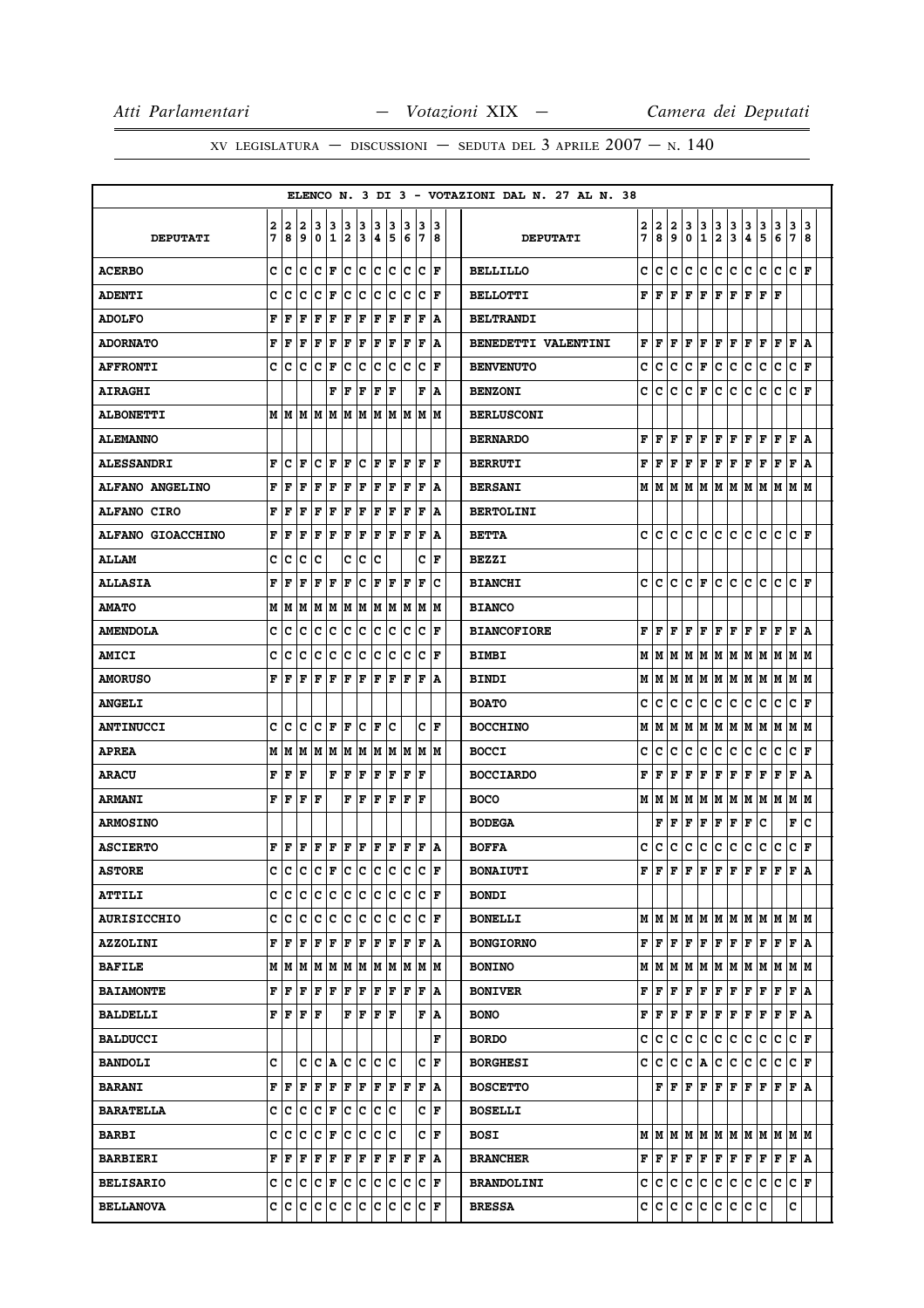|                        |        |                                       |                                                                                      |           |                                   |        |        |         |                                                                                                                                                   |        |                                                                 |                  |   | ELENCO N. 3 DI 3 - VOTAZIONI DAL N. 27 AL N. 38 |        |        |        |        |                  |                              |                                |              |                                                                 |        |                                |        |
|------------------------|--------|---------------------------------------|--------------------------------------------------------------------------------------|-----------|-----------------------------------|--------|--------|---------|---------------------------------------------------------------------------------------------------------------------------------------------------|--------|-----------------------------------------------------------------|------------------|---|-------------------------------------------------|--------|--------|--------|--------|------------------|------------------------------|--------------------------------|--------------|-----------------------------------------------------------------|--------|--------------------------------|--------|
| <b>DEPUTATI</b>        | 2<br>7 | 2<br>8                                | 2<br>9                                                                               | 3<br>0    | 3<br>$\mathbf 1$                  | 3<br>2 | 3<br>3 | 3<br> 4 | 3<br>5                                                                                                                                            | 3<br>6 | 13<br>17                                                        | 13<br>8          |   | <b>DEPUTATI</b>                                 | 2<br>7 | 2<br>8 | 2<br>9 | 3<br>0 | 3<br>$\mathbf 1$ | 3<br>$\overline{\mathbf{2}}$ | $\frac{3}{3}$                  | 3<br>4       | 3<br>5                                                          | 3<br>6 | $\mathbf{3}$<br>$\overline{7}$ | 3<br>8 |
| <b>ACERBO</b>          | c      | c                                     | c                                                                                    |           | C F                               |        | c c    |         | c c                                                                                                                                               |        | $ c c _F$                                                       |                  |   | <b>BELLILLO</b>                                 | c      | c      | c      | c      | c                | c                            | c                              | c            | c                                                               | c      | C F                            |        |
| <b>ADENTI</b>          | c      | c                                     | c                                                                                    | с         | F                                 | c      | Iс     |         | c c                                                                                                                                               | Iс     | $ {\bf C}  {\bf F} $                                            |                  |   | <b>BELLOTTI</b>                                 | F      | F      | F      | F      | F                | F                            | F                              | F            | F                                                               | F      |                                |        |
| <b>ADOLFO</b>          | F      | F                                     | F                                                                                    | F         | F                                 | F      | F      | F       | ΙF                                                                                                                                                | ΙF     | lF                                                              | ١A               |   | <b>BELTRANDI</b>                                |        |        |        |        |                  |                              |                                |              |                                                                 |        |                                |        |
| <b>ADORNATO</b>        | F      | F                                     | F                                                                                    | F         | F                                 | F      | F      |         | F F                                                                                                                                               | F      | F                                                               | ΙA               |   | BENEDETTI VALENTINI                             | F      | F      | F      | F      | F                | F                            | F                              | F            | F                                                               | F      | F   A                          |        |
| <b>AFFRONTI</b>        | c      | c                                     | c                                                                                    | c         | F                                 | c      | с      | IC.     | Iс                                                                                                                                                | ΙC     | Iс                                                              | l F              |   | <b>BENVENUTO</b>                                | c      | c      | c      | с      | F                | c                            | с                              | с            | с                                                               | с      | c                              | F      |
| <b>AIRAGHI</b>         |        |                                       |                                                                                      |           | F                                 | F      | F      | F       | lF                                                                                                                                                |        | F                                                               | ١A               |   | <b>BENZONI</b>                                  | с      | c      | c      | с      | F                | с                            | с                              | с            | c                                                               | с      | c                              | F      |
| <b>ALBONETTI</b>       |        | MM                                    |                                                                                      |           |                                   |        |        |         |                                                                                                                                                   |        | M  M  M  M  M  M  M  M  M  M                                    |                  |   | <b>BERLUSCONI</b>                               |        |        |        |        |                  |                              |                                |              |                                                                 |        |                                |        |
| <b>ALEMANNO</b>        |        |                                       |                                                                                      |           |                                   |        |        |         |                                                                                                                                                   |        |                                                                 |                  |   | <b>BERNARDO</b>                                 | F      | F      | F      | F      | F                | F                            | F                              | F            | F F                                                             |        | F A                            |        |
| <b>ALESSANDRI</b>      | F      | c                                     | F                                                                                    | c         | ΙF                                | F      | c      | l F     | ١F                                                                                                                                                | ΙF     | lF                                                              | ١F               |   | <b>BERRUTI</b>                                  | F      | F      | F      | F      | F                | F                            | F                              | F            | F                                                               | F      | F                              | ١A     |
| <b>ALFANO ANGELINO</b> | F      | F                                     | F                                                                                    | F         | F                                 | F      | F      | F       | ΙF                                                                                                                                                | F      | F                                                               | ١A               |   | <b>BERSANI</b>                                  | м      | lМ     | м      | lМ     | M                | IМ                           | lМ                             | lМ           | lМ                                                              | M      | IM IM                          |        |
| <b>ALFANO CIRO</b>     | F      | F                                     | F                                                                                    | F         | F                                 | F      | F      | F       | F                                                                                                                                                 | F      | F                                                               | ١A               |   | <b>BERTOLINI</b>                                |        |        |        |        |                  |                              |                                |              |                                                                 |        |                                |        |
| ALFANO GIOACCHINO      | F      | F                                     | F                                                                                    | F         | F                                 | F      | F      | F       | F                                                                                                                                                 | ΙF     | F                                                               | A                |   | <b>BETTA</b>                                    | c      | c      | c      | c      | c                | c                            | с                              | c            | с                                                               | c      | c                              | F      |
| <b>ALLAM</b>           | c      | c                                     | c                                                                                    | c         |                                   | c      | c      | c       |                                                                                                                                                   |        | c                                                               | ١F               |   | <b>BEZZI</b>                                    |        |        |        |        |                  |                              |                                |              |                                                                 |        |                                |        |
| <b>ALLASIA</b>         | F      | F                                     | F                                                                                    | F         | F                                 | l F    | c      | F       | F                                                                                                                                                 | F      | l F                                                             | c                |   | <b>BIANCHI</b>                                  | c      | c      | c      | с      | F                | c                            | c                              | c            | c                                                               | c      | C F                            |        |
| <b>AMATO</b>           | М      | M                                     | M                                                                                    |           |                                   |        |        |         |                                                                                                                                                   |        | M  M  M  M  M  M  M  M  M                                       |                  |   | <b>BIANCO</b>                                   |        |        |        |        |                  |                              |                                |              |                                                                 |        |                                |        |
| <b>AMENDOLA</b>        | с      | c                                     | с                                                                                    | c         | c                                 | IC.    | c      |         | c c                                                                                                                                               | Ιc     | $ {\bf C}  {\bf F} $                                            |                  |   | <b>BIANCOFIORE</b>                              | F      | F      | F      | F      | F                | F                            | F                              | F            | F                                                               | F      | F   A                          |        |
| <b>AMICI</b>           | c      | c                                     | c                                                                                    | c         | c                                 | c      | c      | lc.     | Ιc                                                                                                                                                | c      | lc                                                              | ١F               |   | <b>BIMBI</b>                                    | м      | M      | м      | М      | м                | м                            | IМ                             | м            | M                                                               | M      | M   M                          |        |
| <b>AMORUSO</b>         | F      | ١F                                    | F                                                                                    | F         | l F                               | l F    | lF.    |         | F  F                                                                                                                                              | ١F     | F  A                                                            |                  |   | <b>BINDI</b>                                    | М      | М      | м      | М      | M                | м                            | M                              | M            | M                                                               | M      | M  M                           |        |
| <b>ANGELI</b>          |        |                                       |                                                                                      |           |                                   |        |        |         |                                                                                                                                                   |        |                                                                 |                  |   | <b>BOATO</b>                                    | c      | c      | с      | c      | с                | с                            | с                              | с            | с                                                               | с      | c                              | F      |
| <b>ANTINUCCI</b>       | c      | c                                     | C                                                                                    |           | C F                               | F      | c      | lF.     | lc                                                                                                                                                |        | c                                                               | ١F               |   | <b>BOCCHINO</b>                                 | М      | М      | м      | М      | M                | М                            | M                              | M            | M                                                               | M      | M   M                          |        |
| <b>APREA</b>           | М      | M                                     |                                                                                      |           |                                   |        |        |         |                                                                                                                                                   |        | $M$   $M$   $M$   $M$   $M$   $M$   $M$   $M$   $M$   $M$       |                  |   | <b>BOCCI</b>                                    | c      | C      | c      | c      | c                | с                            | c                              | c            | c                                                               | c      | $\mathbf{C}$                   | F      |
| <b>ARACU</b>           | F      | F                                     | F                                                                                    |           | F                                 | F      | F      | F       | F                                                                                                                                                 | F      | l F                                                             |                  |   | <b>BOCCIARDO</b>                                | F      | F      | F      | F      | F                | F                            | F                              | F            | F                                                               | F      | F                              | A      |
| <b>ARMANI</b>          | F      | F                                     | $ {\bf F}  {\bf F}$                                                                  |           |                                   | F      |        |         | F F F                                                                                                                                             | ΙF     | ١F                                                              |                  |   | <b>BOCO</b>                                     | М      | IМ     | М      | M      |                  |                              |                                |              | M  M  M  M  M  M  M  M                                          |        |                                |        |
| <b>ARMOSINO</b>        |        |                                       |                                                                                      |           |                                   |        |        |         |                                                                                                                                                   |        |                                                                 |                  |   | <b>BODEGA</b>                                   |        | F      | F      | F      | F                | F                            | F                              | F            | c                                                               |        | F                              | C      |
| <b>ASCIERTO</b>        |        | FF                                    | F                                                                                    | F         | F                                 |        | F F    |         | F F                                                                                                                                               |        | F F A                                                           |                  |   | <b>BOFFA</b>                                    | c      | c      | с      | c      | c                | с                            | c                              | с            | с                                                               | с      | c                              | F      |
| <b>ASTORE</b>          | c      | c                                     | c                                                                                    |           | $ {\tt C}\, {\tt F}\, {\tt C}\, $ |        | c c    |         | lc.                                                                                                                                               | Iс     | lc                                                              | lF               |   | <b>BONAIUTI</b>                                 | F      | F      | F      | F      | F                | F                            | F                              | F            | F                                                               | F      | F                              | A      |
| <b>ATTILI</b>          | С      | c                                     | c.                                                                                   |           |                                   |        |        |         |                                                                                                                                                   |        | c  c  c  c  c  c  c  c  F                                       |                  |   | <b>BONDI</b>                                    |        |        |        |        |                  |                              |                                |              |                                                                 |        |                                |        |
| <b>AURISICCHIO</b>     |        |                                       |                                                                                      |           |                                   |        |        |         |                                                                                                                                                   |        | C C C C C C C C C C C F                                         |                  |   | <b>BONELLI</b>                                  |        | мIм    |        |        |                  |                              |                                |              | IM   M   M   M   M   M   M   M   M                              |        |                                |        |
| <b>AZZOLINI</b>        |        | ${\bf F} \parallel {\bf F} \parallel$ |                                                                                      | F F F     |                                   |        |        |         |                                                                                                                                                   |        | F F F F F F A                                                   |                  |   | <b>BONGIORNO</b>                                |        | FF     | F      | F      | F                |                              | ${\bf F} \,   \, {\bf F} \,  $ | $\mathbf{F}$ | F                                                               | F      | FIA                            |        |
| <b>BAFILE</b>          |        |                                       |                                                                                      |           |                                   |        |        |         |                                                                                                                                                   |        | $M$   $M$   $M$   $M$   $M$   $M$   $M$   $M$   $M$   $M$   $M$ |                  |   | <b>BONINO</b>                                   |        | M   M  |        |        |                  |                              |                                |              | M  M  M  M  M  M  M  M  M  M                                    |        |                                |        |
| <b>BAIAMONTE</b>       |        | F  F                                  |                                                                                      |           |                                   |        |        |         |                                                                                                                                                   |        | F   F   F   F   F   F   F   F   A                               |                  |   | <b>BONIVER</b>                                  | F      | F      | F      | F      | F                |                              |                                |              | $\mathbf{F} \mathbf{F} \mathbf{F} \mathbf{F} $                  | F F A  |                                |        |
| <b>BALDELLI</b>        |        |                                       | ${\bf F}$ $\left  {\bf F} \right.$ $\left  {\bf F} \right.$ $\left  {\bf F} \right.$ |           |                                   |        |        |         | $ {\bf F}  {\bf F}  {\bf F}  {\bf F}$                                                                                                             |        |                                                                 | F A              |   | <b>BONO</b>                                     | F      | F      | F      | F      | F                | F                            | F                              | F            | F                                                               | F      | F A                            |        |
| <b>BALDUCCI</b>        |        |                                       |                                                                                      |           |                                   |        |        |         |                                                                                                                                                   |        |                                                                 |                  | F | <b>BORDO</b>                                    | c      | с      | с      | с      | с                | с                            | c                              | с            | с                                                               | с      | C F                            |        |
| <b>BANDOLI</b>         | C      |                                       |                                                                                      |           |                                   |        |        |         | C C A C C C C                                                                                                                                     |        |                                                                 | $ {\bf C}\>  $ F |   | <b>BORGHESI</b>                                 | c      | lc.    | c      | c      | A                | c                            | $ {\bf c} $                    | $\mathbf{C}$ | c.                                                              | c      | $ {\bf C}\> {\bf F} $          |        |
| <b>BARANI</b>          |        | FF                                    |                                                                                      |           |                                   |        |        |         | $\mathbf{F} \,   \, \mathbf{F} \,   \, \mathbf{F} \,   \, \mathbf{F} \,   \, \mathbf{F} \,   \, \mathbf{F} \,   \, \mathbf{F} \,   \, \mathbf{F}$ |        | F                                                               | ΙA               |   | <b>BOSCETTO</b>                                 |        | F      | F      |        | F F              |                              | F F F F                        |              |                                                                 | F      | F A                            |        |
| <b>BARATELLA</b>       |        | c c                                   |                                                                                      | C C F     |                                   |        |        |         | c c c c                                                                                                                                           |        |                                                                 | C F              |   | <b>BOSELLI</b>                                  |        |        |        |        |                  |                              |                                |              |                                                                 |        |                                |        |
| <b>BARBI</b>           | c      | c                                     |                                                                                      | $ C C $ F |                                   |        |        |         | c c c c                                                                                                                                           |        |                                                                 | $ C $ F          |   | <b>BOSI</b>                                     |        |        |        |        |                  |                              |                                |              | $M$   $M$   $M$   $M$   $M$   $M$   $M$   $M$   $M$   $M$   $M$ |        |                                |        |
| <b>BARBIERI</b>        |        | FF                                    |                                                                                      |           |                                   |        |        |         |                                                                                                                                                   |        | F   F   F   F   F   F   F   F   A                               |                  |   | <b>BRANCHER</b>                                 | F      | F      | F      | F      | F                |                              | F F F F                        |              |                                                                 | F F A  |                                |        |
| <b>BELISARIO</b>       |        |                                       |                                                                                      |           |                                   |        |        |         |                                                                                                                                                   |        | C  C C  C F  C C  C C  C F                                      |                  |   | <b>BRANDOLINI</b>                               |        | C C    | C      | c      | c                | c                            | c.                             | c            | c                                                               | с      | C F                            |        |
| <b>BELLANOVA</b>       |        |                                       |                                                                                      |           |                                   |        |        |         |                                                                                                                                                   |        | C C C C C C C C C C C F                                         |                  |   | <b>BRESSA</b>                                   |        | C C    | c      | c      | c.               |                              | c c                            | c c          |                                                                 |        | с                              |        |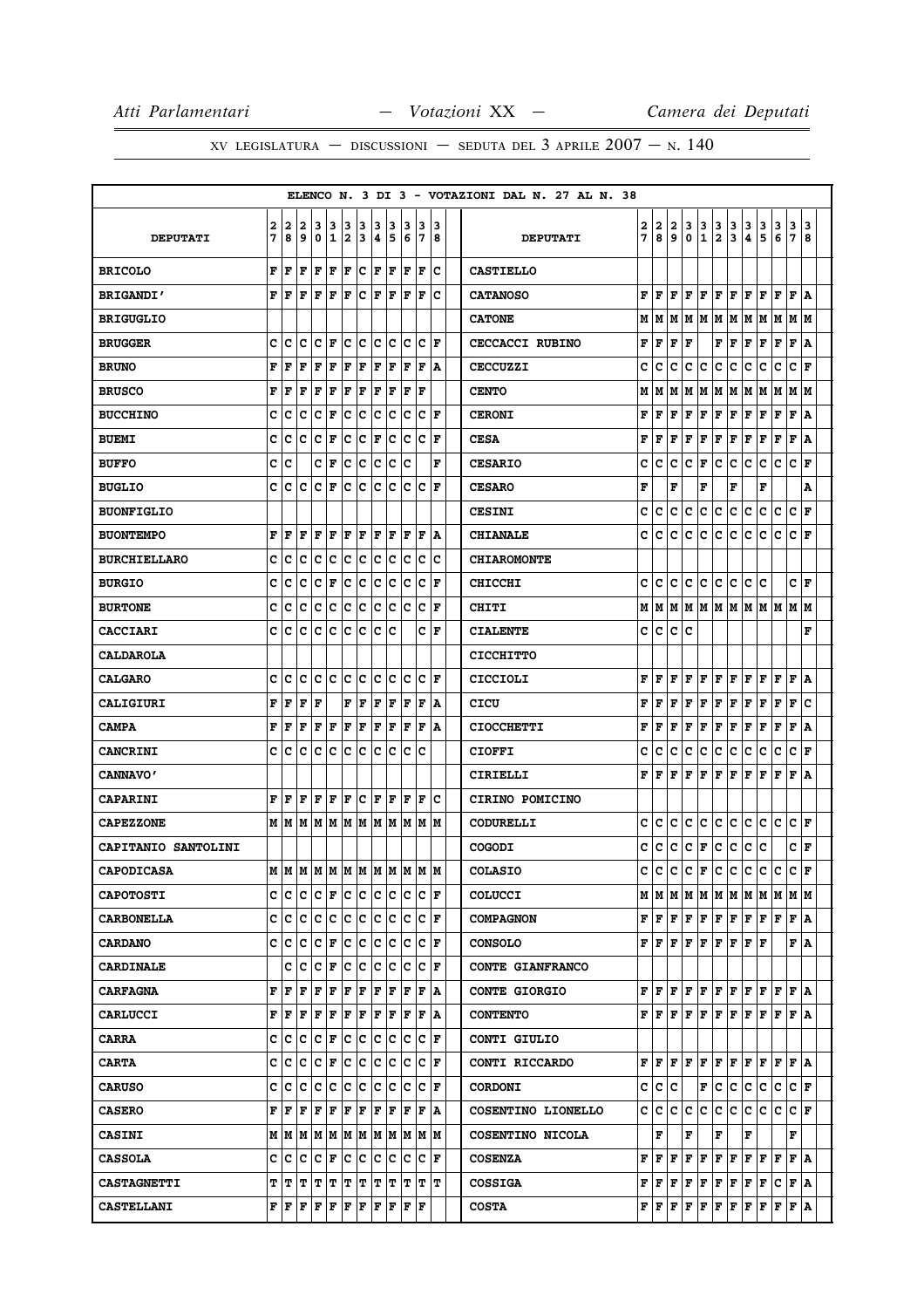|                     |              |     |           |     |                      |    |             |                     |         |             |                                                                                                                                                  |                      |   | ELENCO N. 3 DI 3 - VOTAZIONI DAL N. 27 AL N. 38 |   |                             |     |                          |                                                                           |                |               |     |                                                                                                                                                      |                |                                                                 |     |
|---------------------|--------------|-----|-----------|-----|----------------------|----|-------------|---------------------|---------|-------------|--------------------------------------------------------------------------------------------------------------------------------------------------|----------------------|---|-------------------------------------------------|---|-----------------------------|-----|--------------------------|---------------------------------------------------------------------------|----------------|---------------|-----|------------------------------------------------------------------------------------------------------------------------------------------------------|----------------|-----------------------------------------------------------------|-----|
|                     | 2            | 2   | 2         | з   | 3                    | 3  | з           | з                   | 3       | з           | 3                                                                                                                                                | з                    |   |                                                 | 2 | 2                           | 2   | 3                        | 3                                                                         | 3              |               | 3   |                                                                                                                                                      | 3              | 3                                                               | 3   |
| <b>DEPUTATI</b>     | 7            | 8   | 9         | 0   | 11                   | 2  | 3           | 4                   | 15      | 6           | 17                                                                                                                                               | 8                    |   | <b>DEPUTATI</b>                                 | 7 | 8                           | 9   | 0                        | 1                                                                         | $\overline{2}$ | $\frac{3}{3}$ | 4   | $\frac{3}{5}$                                                                                                                                        | $\overline{6}$ | $\overline{7}$                                                  | 8   |
| <b>BRICOLO</b>      | F            | F   | F         | F   | F                    | F  | c           | F                   | F       | F           | l F                                                                                                                                              | c                    |   | <b>CASTIELLO</b>                                |   |                             |     |                          |                                                                           |                |               |     |                                                                                                                                                      |                |                                                                 |     |
| <b>BRIGANDI'</b>    | F            | F   | F         | F   | l F                  | lF | c           | lF                  | lF      | ΙF          | l F                                                                                                                                              | c                    |   | <b>CATANOSO</b>                                 | F | l F                         | F   | F                        | F                                                                         | F              | F             | F   | l F                                                                                                                                                  | F              | $\mathbf F$                                                     | ١A  |
| <b>BRIGUGLIO</b>    |              |     |           |     |                      |    |             |                     |         |             |                                                                                                                                                  |                      |   | <b>CATONE</b>                                   | М | M                           | M   | М                        | lМ                                                                        | M              | M             | M   | M                                                                                                                                                    | M              | М                                                               | M   |
| <b>BRUGGER</b>      | c            | c   | с         |     | $ C $ $\bf{F}$       | C. | c           |                     | c c     | c.          | lc.                                                                                                                                              | ١F                   |   | CECCACCI RUBINO                                 | F | F                           | F   | F                        |                                                                           | F              | F             | F   | F                                                                                                                                                    | F              | $\mathbf{F}$                                                    | ١A  |
| <b>BRUNO</b>        | F            | F   | F         | F   | $\mathbf F$          | F  | $\mathbf F$ | F                   | F       | F           | F                                                                                                                                                | A                    |   | <b>CECCUZZI</b>                                 | c | C                           | c   | c                        | c                                                                         | $\mathbf{C}$   | c             | c   | c                                                                                                                                                    | c              | $\mathbf c$                                                     | l F |
| <b>BRUSCO</b>       | F            | F   | F         | F   | F                    | F  | F           | F                   | F       | F           | ΙF                                                                                                                                               |                      |   | <b>CENTO</b>                                    | М | M                           | M   | М                        | M                                                                         | M              | M             | M   | M                                                                                                                                                    | M              | M   M                                                           |     |
| <b>BUCCHINO</b>     | c            | с   | с         | с   | F                    | с  | с           | c                   | c       | c           | c                                                                                                                                                | F                    |   | <b>CERONI</b>                                   | F | F                           | F   | F                        | F                                                                         | F              | F             | F   | F                                                                                                                                                    | F              | $\mathbf{F}$                                                    | ١A  |
| <b>BUEMI</b>        | C            | c   | C         | c   | F                    | c  | c           | F                   | c       | c           | c                                                                                                                                                | l F                  |   | <b>CESA</b>                                     | F | l F                         | F   | F                        | F                                                                         | $\mathbf F$    | F             | F   | F                                                                                                                                                    | F              | $\mathbf F$                                                     | ١A  |
| <b>BUFFO</b>        | с            | c   |           | с   | F                    | c  | c           | c                   | c       | Ιc          |                                                                                                                                                  |                      | F | <b>CESARIO</b>                                  | c | lc.                         | c   | c                        | F                                                                         | c              | lc.           | lc. | lc.                                                                                                                                                  | Iс             | lc.                                                             | l F |
| <b>BUGLIO</b>       | c            | c   | c         | c   | F                    | c  | c           | c                   | c       | c           | c                                                                                                                                                | F                    |   | <b>CESARO</b>                                   | F |                             | F   |                          | F                                                                         |                | F             |     | F                                                                                                                                                    |                |                                                                 | A   |
| <b>BUONFIGLIO</b>   |              |     |           |     |                      |    |             |                     |         |             |                                                                                                                                                  |                      |   | <b>CESINI</b>                                   | c | c                           | c   | c                        | c                                                                         | c              | lc.           | c   | c                                                                                                                                                    | c              | c                                                               | ١F  |
| <b>BUONTEMPO</b>    | F            | F   | F         | F   | $\mathbf F$          | F  | $\mathbf F$ | F                   | F       | F           | F                                                                                                                                                | A                    |   | <b>CHIANALE</b>                                 | C | c                           | c   | $\mathbf{C}$             | c                                                                         | $\mathbf C$    | c             | c   | c                                                                                                                                                    | c              | $\mathbf c$                                                     | l F |
| <b>BURCHIELLARO</b> | c            | c   | c         | c   | C                    | c  | ∣c          | c                   | c       | C           | c                                                                                                                                                |                      | c | <b>CHIAROMONTE</b>                              |   |                             |     |                          |                                                                           |                |               |     |                                                                                                                                                      |                |                                                                 |     |
| <b>BURGIO</b>       | c            | с   | c         | c   | F                    | c  | c           | c                   | с       | с           | c                                                                                                                                                | F                    |   | <b>CHICCHI</b>                                  | c | c                           | c   | c                        | lc.                                                                       | c              | lc.           | c   | ١c                                                                                                                                                   |                | c                                                               | ١F  |
| <b>BURTONE</b>      | c            | c   | c         | c   | c                    | c  | ∣c          | c                   | c       | c           | c                                                                                                                                                | F                    |   | CHITI                                           | М | lМ                          | M   | М                        |                                                                           |                |               |     | MMMMMMM                                                                                                                                              |                | M  M                                                            |     |
| <b>CACCIARI</b>     | c            | c   | с         | c   | c                    | c  | c           | lc.                 | c       |             | с                                                                                                                                                | F                    |   | <b>CIALENTE</b>                                 | c | lc.                         | lc. | c                        |                                                                           |                |               |     |                                                                                                                                                      |                |                                                                 | F   |
| <b>CALDAROLA</b>    |              |     |           |     |                      |    |             |                     |         |             |                                                                                                                                                  |                      |   | <b>CICCHITTO</b>                                |   |                             |     |                          |                                                                           |                |               |     |                                                                                                                                                      |                |                                                                 |     |
| <b>CALGARO</b>      | с            | c   | c         | c   | ∣c                   | c  | ∣c          | c                   | c       | c           | lc.                                                                                                                                              | ١F                   |   | CICCIOLI                                        | F | l F                         | F   | F                        | F                                                                         | F              | F             | F   | F                                                                                                                                                    | F              | $\mathbf F$                                                     | ١A  |
| <b>CALIGIURI</b>    | F            | F   | F         | F   |                      | F  | F           | F                   | F       | $\mathbf F$ | F                                                                                                                                                | ١A                   |   | CICU                                            | F | F                           | F   | $\mathbf F$              | F                                                                         | $\mathbf F$    | F             | F   | F                                                                                                                                                    | F              | F                                                               | lc  |
| <b>CAMPA</b>        | F            | F   | F         | F   | F                    | F  | F           | F                   | F       | F           | l F                                                                                                                                              | A                    |   | <b>CIOCCHETTI</b>                               | F | l F                         | F   | F                        | F                                                                         | F              | F             | F   | F                                                                                                                                                    | F              | F                                                               | ١A  |
| <b>CANCRINI</b>     | c            | c   | C         | c   | c                    | c  | c           | c                   | с       | c           | ١c                                                                                                                                               |                      |   | <b>CIOFFI</b>                                   | c | c                           | c   | c                        | c                                                                         | $\mathbf{C}$   | c             | c   | c                                                                                                                                                    | c              | c                                                               | l F |
| <b>CANNAVO'</b>     |              |     |           |     |                      |    |             |                     |         |             |                                                                                                                                                  |                      |   | CIRIELLI                                        | F | l F                         | F   | F                        | ΙF                                                                        | F              | F             | F   | l F                                                                                                                                                  | F              | F                                                               | ١A  |
| <b>CAPARINI</b>     | F            | F   | F         | F   | F                    | F  | c           | F                   | F       | ΙF          | F                                                                                                                                                | c                    |   | CIRINO POMICINO                                 |   |                             |     |                          |                                                                           |                |               |     |                                                                                                                                                      |                |                                                                 |     |
| <b>CAPEZZONE</b>    |              | м∣м |           | M M | lм                   | M  |             | M M                 | lМ      | lМ          | lМ                                                                                                                                               | lМ                   |   | <b>CODURELLI</b>                                | c | c                           | c   | c                        | c                                                                         | c              | lc.           | c   | lc.                                                                                                                                                  | с              | c                                                               | F   |
| CAPITANIO SANTOLINI |              |     |           |     |                      |    |             |                     |         |             |                                                                                                                                                  |                      |   | <b>COGODI</b>                                   | c | c                           | c   | c                        | F                                                                         | c              | c             | c   | c                                                                                                                                                    |                | c                                                               | F   |
| <b>CAPODICASA</b>   |              |     |           |     |                      |    |             |                     |         |             | м м м м м м м м м м м                                                                                                                            |                      |   | <b>COLASIO</b>                                  | Ć | c                           | c   | c                        | F                                                                         | c              | c             | c   | lc.                                                                                                                                                  | c              | $\mathbf c$                                                     | l F |
| <b>CAPOTOSTI</b>    |              |     |           |     |                      |    |             |                     |         |             | C  C  C  C  F  C  C  C  C  C  C  F                                                                                                               |                      |   | <b>COLUCCI</b>                                  |   |                             |     |                          |                                                                           |                |               |     |                                                                                                                                                      |                | $M$   $M$   $M$   $M$   $M$   $M$   $M$   $M$   $M$   $M$   $M$ |     |
| <b>CARBONELLA</b>   |              |     |           |     |                      |    |             |                     |         |             | c c c c c c c c c c c c F                                                                                                                        |                      |   | <b>COMPAGNON</b>                                |   | ${\bf F} \parallel {\bf F}$ |     |                          |                                                                           |                |               |     | $\boxed{\mathbf{F} \mid \mathbf{F} \mid \mathbf{F} \mid \mathbf{F} \mid \mathbf{F} \mid \mathbf{F} \mid \mathbf{F} \mid \mathbf{F} \mid \mathbf{F}}$ |                | F A                                                             |     |
| <b>CARDANO</b>      |              |     | c c c     |     | $ {\bf C}  {\bf F} $ |    |             |                     | C C C C | IC.         |                                                                                                                                                  | $ {\bf C}  {\bf F} $ |   | <b>CONSOLO</b>                                  |   | FF                          | lF. | lF.                      | F                                                                         | F              | lF.           | lF. | lF.                                                                                                                                                  |                | FIA                                                             |     |
| <b>CARDINALE</b>    |              |     | C C C F   |     |                      |    |             |                     |         |             | C C C C C F                                                                                                                                      |                      |   | <b>CONTE GIANFRANCO</b>                         |   |                             |     |                          |                                                                           |                |               |     |                                                                                                                                                      |                |                                                                 |     |
| <b>CARFAGNA</b>     | F            | lF  | F         | F   | F                    | F  | F           | F                   | F       | F           | lF.                                                                                                                                              | ١A                   |   | <b>CONTE GIORGIO</b>                            | F | lF.                         |     | $\mathbf{F} \mathbf{F} $ | F F F F                                                                   |                |               |     | F F                                                                                                                                                  |                | F   A                                                           |     |
| <b>CARLUCCI</b>     | F            | F   | F         | F   | F                    | F  | $ {\bf F}$  | $ {\bf F}  {\bf F}$ |         | F           | F                                                                                                                                                | ١A                   |   | <b>CONTENTO</b>                                 |   |                             |     |                          |                                                                           |                |               |     | ${\bf F}$ $\bf F$ $\bf F$ $\bf F$ $\bf F$ $\bf F$ $\bf F$ $\bf F$ $\bf F$ $\bf F$                                                                    |                | F A                                                             |     |
| <b>CARRA</b>        |              |     | C C C C F |     |                      |    |             |                     |         |             | C C C C C F                                                                                                                                      |                      |   | CONTI GIULIO                                    |   |                             |     |                          |                                                                           |                |               |     |                                                                                                                                                      |                |                                                                 |     |
| <b>CARTA</b>        |              |     | C C C F   |     |                      |    |             |                     |         |             |                                                                                                                                                  |                      |   | CONTI RICCARDO                                  |   | FIF                         |     | F F                      | F                                                                         | F              | F F           |     | F F                                                                                                                                                  |                | F   A                                                           |     |
| <b>CARUSO</b>       |              |     |           |     |                      |    |             |                     |         |             | C  C  C  C  C  C  C  C  C  C  C  F                                                                                                               |                      |   | <b>CORDONI</b>                                  |   | c c c                       |     |                          | F                                                                         | c              | c c           |     | C                                                                                                                                                    | c              | $ {\bf C}  {\bf F} $                                            |     |
| <b>CASERO</b>       | $\mathbf{F}$ | ١F  | F         | lF. | F                    | F  | F           | F                   | F       | lF.         | lF.                                                                                                                                              | ١A                   |   | COSENTINO LIONELLO                              | c | IC.                         | lC. | lC.                      | IC.                                                                       | с              | lc.           | IC. | c  c                                                                                                                                                 |                | $ {\bf C}  {\bf F} $                                            |     |
| <b>CASINI</b>       |              |     |           |     |                      |    |             |                     |         |             | $M$   $M$   $M$   $M$   $M$   $M$   $M$   $M$   $M$   $M$   $M$                                                                                  |                      |   | COSENTINO NICOLA                                |   | F                           |     | F                        |                                                                           | F              |               | F   |                                                                                                                                                      |                | F                                                               |     |
| <b>CASSOLA</b>      | c            | IC. | lC.       |     | $ {\tt C}  {\tt F} $ | C. | C           |                     | c c     | c           | IC.                                                                                                                                              | ١F                   |   | <b>COSENZA</b>                                  | F | lF.                         | F   | F                        | F                                                                         | F              | lF.           | F   | F                                                                                                                                                    | ١F             | F A                                                             |     |
| <b>CASTAGNETTI</b>  |              |     |           |     |                      |    |             |                     |         |             | T T T T T T T T T T T T T                                                                                                                        |                      |   | <b>COSSIGA</b>                                  |   | F F F F                     |     |                          | F F                                                                       |                | F F           |     | F                                                                                                                                                    | c              | F   A                                                           |     |
| <b>CASTELLANI</b>   |              |     |           |     |                      |    |             |                     |         |             | ${\bf F}\, \, {\bf F}\, \, {\bf F}\, \, {\bf F}\, \, {\bf F}\, \, {\bf F}\, \, {\bf F}\, \, {\bf F}\, \, {\bf F}\, \, {\bf F}\, \, {\bf F}\, \,$ |                      |   | <b>COSTA</b>                                    |   |                             |     |                          | ${\bf F}$ $\bf [F]$ $\bf F$ $\bf [F]$ $\bf F$ $\bf [F]$ $\bf F$ $\bf [F]$ |                |               |     |                                                                                                                                                      |                | F F A                                                           |     |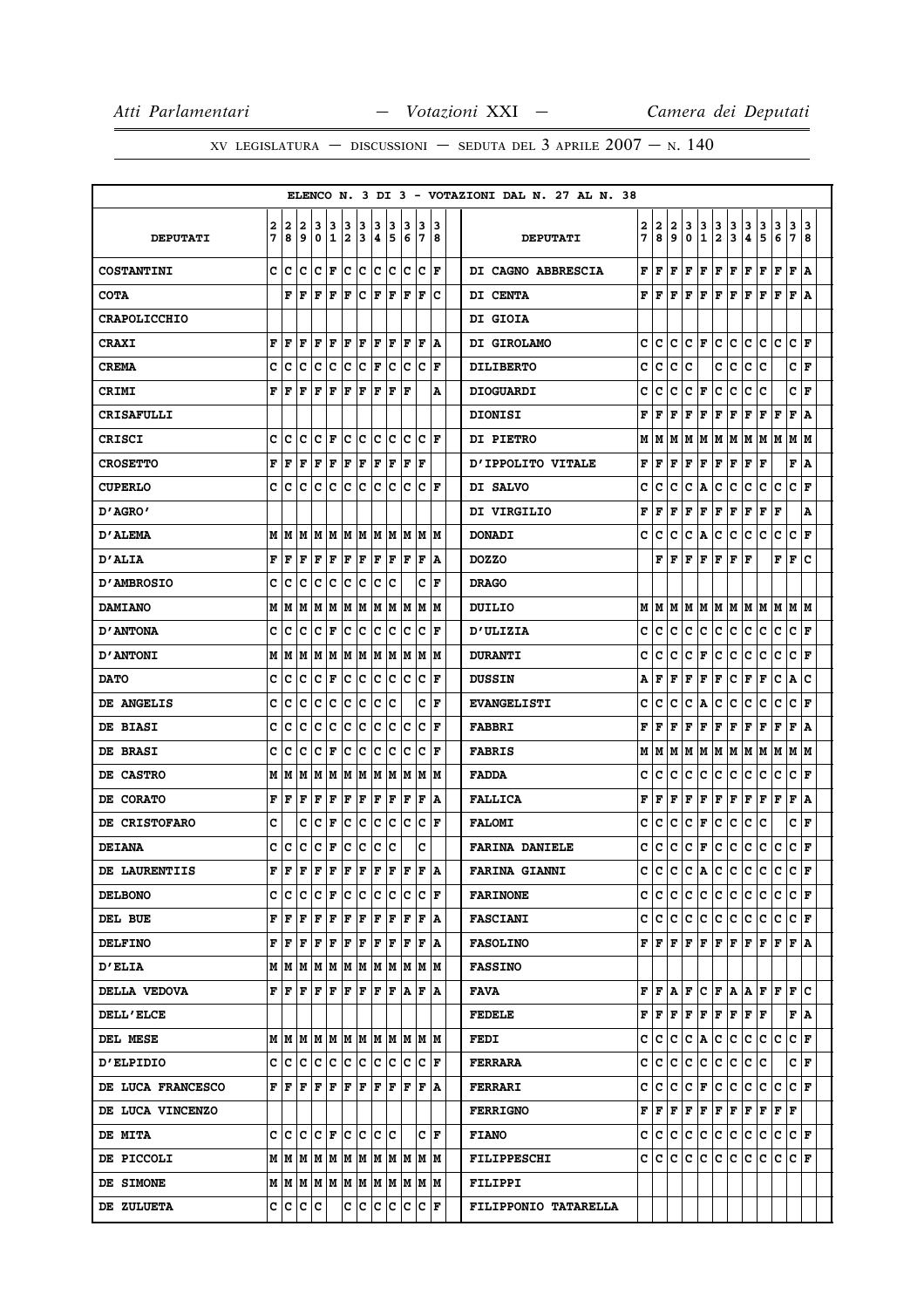|                     |   |       |                                                                 |                      |              |     |     |     |     |    |                                                                |     |  | ELENCO N. 3 DI 3 - VOTAZIONI DAL N. 27 AL N. 38 |   |      |     |              |                    |                         |           |     |               |     |                        |     |
|---------------------|---|-------|-----------------------------------------------------------------|----------------------|--------------|-----|-----|-----|-----|----|----------------------------------------------------------------|-----|--|-------------------------------------------------|---|------|-----|--------------|--------------------|-------------------------|-----------|-----|---------------|-----|------------------------|-----|
|                     | 2 | 2     | 2                                                               | 3                    | 3            | 3   | 3   | 3   | 3   | 3  | 13                                                             | 3   |  |                                                 | 2 | 2    | 2   | 3            | 3                  | 3                       | 3         | 3   | 3             | 3   | 3                      | 13  |
| <b>DEPUTATI</b>     | 7 | 8     | 9                                                               | 0                    | $\mathbf{1}$ | 2   | 3   | 4   | 5   | 6  | 17                                                             | 8   |  | <b>DEPUTATI</b>                                 | 7 | 8    | 9   | 0            | 1                  | $\overline{\mathbf{2}}$ | 3         | 4   | 5             | 6   | 7                      | 8   |
| <b>COSTANTINI</b>   | c | с     | c                                                               | C F                  |              | c.  | ∣c  |     | c c |    | c c                                                            | l F |  | DI CAGNO ABBRESCIA                              | F | F    | F   | F            | F                  | F                       | F         | F   | F             | F   | $\mathbf F$            | ١A  |
| <b>COTA</b>         |   | F     | ١F                                                              | F                    | F            | F   | lc. | F   | lF  | ΙF | ١F                                                             | Ιc  |  | DI CENTA                                        | F | F    | F   | l F          | F                  | F                       | F         | F   | F             | l F | F                      | ١A  |
| <b>CRAPOLICCHIO</b> |   |       |                                                                 |                      |              |     |     |     |     |    |                                                                |     |  | <b>DI GIOIA</b>                                 |   |      |     |              |                    |                         |           |     |               |     |                        |     |
| <b>CRAXI</b>        | F | F     | F                                                               | F                    | F            | F   | F   | F   | F   | F  | F                                                              | ۱A  |  | DI GIROLAMO                                     | c | lc.  | с   | c            | F                  | c                       | lc.       | lc. | lc.           | с   | C F                    |     |
| <b>CREMA</b>        | с | с     | c                                                               | с                    | c            | c   | c   | F   | c   | c  | c                                                              | F   |  | <b>DILIBERTO</b>                                | c | c    | c   | c            |                    | с                       | c         | c   | c             |     | c                      | F   |
| <b>CRIMI</b>        | F | l F   | l F                                                             | F                    | F            | l F | F   | l F | F   | ١F |                                                                | Α   |  | <b>DIOGUARDI</b>                                | c | c    | c   | $\mathbf{C}$ | F                  | $\mathbf C$             | c         | c   | c             |     | c                      | l F |
| <b>CRISAFULLI</b>   |   |       |                                                                 |                      |              |     |     |     |     |    |                                                                |     |  | <b>DIONISI</b>                                  | F | F    | F   | F            | F                  | $\mathbf F$             | F         | F   | F             | F   | $\mathbf F$            | ١A  |
| <b>CRISCI</b>       | c | c     | c                                                               | C F                  |              | c   | c   | c   | с   | с  | c                                                              | l F |  | <b>DI PIETRO</b>                                | М | M    | M   | M            | M                  | M                       |           |     | M   M   M   M |     | M   M                  |     |
| <b>CROSETTO</b>     | F | F     | F                                                               | F                    | F            | F   | F   | F   | F   | F  | F                                                              |     |  | D'IPPOLITO VITALE                               | F | F    | F   | F            | F                  | $\mathbf F$             | F         | F   | ΙF            |     | F                      | ١A  |
| <b>CUPERLO</b>      | c | c     | c                                                               | c                    | $\mathbf C$  | c   | c   | c   | c   | c  | c                                                              | ΙF  |  | DI SALVO                                        | c | c    | c   | c            | A                  | с                       | lc.       | c   | c             | c   | c                      | F   |
| D'AGRO'             |   |       |                                                                 |                      |              |     |     |     |     |    |                                                                |     |  | DI VIRGILIO                                     | F | F    | F   | F            | F                  | F                       | F         | F   | F             | F   |                        | A   |
| <b>D'ALEMA</b>      | М | lМ    | M                                                               | M                    | M            | lм  | lМ  | lм  | lм  | lМ | lм                                                             | lМ  |  | <b>DONADI</b>                                   | c | c    | c   | c            | A                  | c                       | c         | c   | c             | c   | c                      | F   |
| <b>D'ALIA</b>       | F | F     | F                                                               | F                    | F            | F   | F   | F   | F   | ΙF | F                                                              | ۱A  |  | <b>DOZZO</b>                                    |   | F    | F   | l F          | F                  | F                       | F         | l F |               | F   | $\mathbf F$            | ١c  |
| <b>D'AMBROSIO</b>   | c | с     | c                                                               | c                    | с            | c   | с   | c   | c   |    | c                                                              | F   |  | <b>DRAGO</b>                                    |   |      |     |              |                    |                         |           |     |               |     |                        |     |
| <b>DAMIANO</b>      | М | M     | M                                                               | MM                   |              |     | M M |     | M M | lм | lм                                                             | lМ  |  | DUILIO                                          | М | lМ   |     |              |                    |                         |           |     | MMMMMMMMM     |     | M   M                  |     |
| <b>D'ANTONA</b>     | c | c     | c                                                               | c                    | F            | c   | ∣c  | c   | c   | c  | c                                                              | l F |  | <b>D'ULIZIA</b>                                 | c | c    | c   | $\mathbf c$  | c                  | c                       | lc.       | c   | c             | c   | c                      | ١F  |
| <b>D'ANTONI</b>     | М | lМ    | lМ                                                              | M                    | M            | M   | M   | IМ  | M   | lм | M                                                              | lМ  |  | <b>DURANTI</b>                                  | c | c    | c   | c            | F                  | c                       | c         | c   | c             | c   | c                      | l F |
| <b>DATO</b>         | с | c     | с                                                               | c                    | F            | c   | ∣c  | c   | ∣c  | c  | Iс                                                             | F   |  | <b>DUSSIN</b>                                   | Α | F    | F   | F            | F                  | F                       | IС        | F   | F             | c   | A                      | ١c  |
| <b>DE ANGELIS</b>   | C | с     | с                                                               | c                    | c            | c   | c   | c   | c   |    | c                                                              | F   |  | <b>EVANGELISTI</b>                              | c | c    | c   | $\mathbf c$  | A                  | $\mathbf{C}$            | c         | c   | c             | c   | c                      | l F |
| DE BIASI            | c | c     | c                                                               | c                    | c            | c   | ∣c  | c   | c   | c  | c                                                              | l F |  | <b>FABBRI</b>                                   | F | F    | F   | F            | F                  | F                       | F         | F   | F             | F   | $\mathbf F$            | ١A  |
| DE BRASI            | c | с     | c                                                               | c                    | F            | c   | c   | с   | c   | c  | c                                                              | F   |  | <b>FABRIS</b>                                   | М | M    | M   | M            |                    |                         |           |     |               |     | M  M  M  M  M  M  M  M |     |
| DE CASTRO           | М | lМ    | M                                                               | M                    | lм           |     | M M |     | M M | M  | lм                                                             | lМ  |  | <b>FADDA</b>                                    | c | Iс   | c   | c            | c                  | c                       | lc.       | c   | c             | с   | c                      | l F |
| DE CORATO           | F | F     | F                                                               | F                    | F            | F   | F   | l F | F   | F  | F                                                              | ١A  |  | <b>FALLICA</b>                                  | F | F    | F   | F            | F                  | $\mathbf F$             | F         | F   | F             | F   | $\mathbf F$            | A   |
| DE CRISTOFARO       | c |       | c                                                               | c                    | F            | c   | с   | с   | с   | c  | c                                                              | ΙF  |  | <b>FALOMI</b>                                   | c | c    | c   | c            | F                  | c                       | lc.       | c   | c             |     | c                      | F   |
| <b>DEIANA</b>       | c | с     | с                                                               | c                    | F            | c   | ∣c  | c   | c   |    | c                                                              |     |  | <b>FARINA DANIELE</b>                           | с | c    | c   | C            | F                  | c                       | c         | c   | c             | c   | c                      | F   |
| DE LAURENTIIS       | F | F     | F                                                               | F                    | F            | F   | F   | F   | lF  | ΙF | F                                                              | ١A  |  | <b>FARINA GIANNI</b>                            | C | C    | c   | $\mathbf c$  | A                  | $\mathbf{C}$            | c         | c   | c             | c   | c                      | l F |
| <b>DELBONO</b>      |   |       | c c c                                                           | $ {\bf C}  {\bf F} $ |              |     | c c |     |     |    | C C C F                                                        |     |  | <b>FARINONE</b>                                 |   | c  c | lc. | lc.          | c c                |                         | c c       |     | lc.           | lc. | IC IF                  |     |
| DEL BUE             |   |       | ${\bf F} \parallel {\bf F} \parallel {\bf F}$                   | F F                  |              | F F |     |     |     |    | F F F F A                                                      |     |  | <b>FASCIANI</b>                                 |   | c  c |     |              |                    |                         |           |     |               |     | C C C C C C C C F      |     |
| <b>DELFINO</b>      | F | ١F    | F                                                               | F                    | F            | F   | F   | F   | F   | F  | l F                                                            | ١A  |  | <b>FASOLINO</b>                                 |   | FIF  | lF. | F            | F                  | F                       | F F       |     | ١F            | lF. | F   A                  |     |
| <b>D'ELIA</b>       |   |       | $M$   $M$   $M$   $M$   $M$   $M$   $M$   $M$   $M$   $M$   $M$ |                      |              |     |     |     |     |    |                                                                |     |  | <b>FASSINO</b>                                  |   |      |     |              |                    |                         |           |     |               |     |                        |     |
| DELLA VEDOVA        |   | FF    | F                                                               | F                    | F            | F   | F   | F   | F A |    | F                                                              | ١A  |  | FAVA                                            | F | lF.  | ΙA  | lF.          |                    |                         | C F A A F |     |               | lF. | IF IC                  |     |
| <b>DELL'ELCE</b>    |   |       |                                                                 |                      |              |     |     |     |     |    |                                                                |     |  | <b>FEDELE</b>                                   | F | F    | F F |              | F F                |                         | F F F     |     |               |     | F A                    |     |
| DEL MESE            |   |       |                                                                 |                      |              |     |     |     |     |    |                                                                |     |  | FEDI                                            | c | IC.  | c   | c            | $ {\bf A} {\bf C}$ |                         | c         | ∣c  | lc.           | c   | $ {\bf C}  {\bf F} $   |     |
| <b>D'ELPIDIO</b>    |   |       | c c c c c c c c c c c c r                                       |                      |              |     |     |     |     |    |                                                                |     |  | <b>FERRARA</b>                                  | c | lc.  | lc. | lc.          | c                  | c                       | lc.       | lc. | lc            |     | C F                    |     |
| DE LUCA FRANCESCO   |   | F F F |                                                                 | F F                  |              | F F |     | F F |     |    | F F A                                                          |     |  | <b>FERRARI</b>                                  | c | lc.  | Iс  | c            | F                  | c                       | c         | c   | lc.           | Ιc  | C F                    |     |
| DE LUCA VINCENZO    |   |       |                                                                 |                      |              |     |     |     |     |    |                                                                |     |  | <b>FERRIGNO</b>                                 | F | F    | F   | Г            | F                  | F                       | F         | F   | F             | F   | F                      |     |
| <b>DE MITA</b>      |   |       | C C C F C C C C                                                 |                      |              |     |     |     |     |    |                                                                | C F |  | <b>FIANO</b>                                    | c |      |     |              |                    |                         |           |     |               |     | C C C C C C C C C F    |     |
| DE PICCOLI          |   |       | M   M   M   M   M   M   M   M   M                               |                      |              |     |     |     |     |    | IM IM                                                          |     |  | <b>FILIPPESCHI</b>                              | c | lc.  | с   | c            | IС                 | c                       | IC.       | c   | lc.           | с   | C F                    |     |
| DE SIMONE           |   |       |                                                                 |                      |              |     |     |     |     |    |                                                                |     |  | <b>FILIPPI</b>                                  |   |      |     |              |                    |                         |           |     |               |     |                        |     |
| DE ZULUETA          |   |       | C C C C                                                         |                      |              |     |     |     |     |    | $ {\tt C}\, {\tt C}\, {\tt C}\, {\tt C}\, {\tt C}\, {\tt F}\,$ |     |  | FILIPPONIO TATARELLA                            |   |      |     |              |                    |                         |           |     |               |     |                        |     |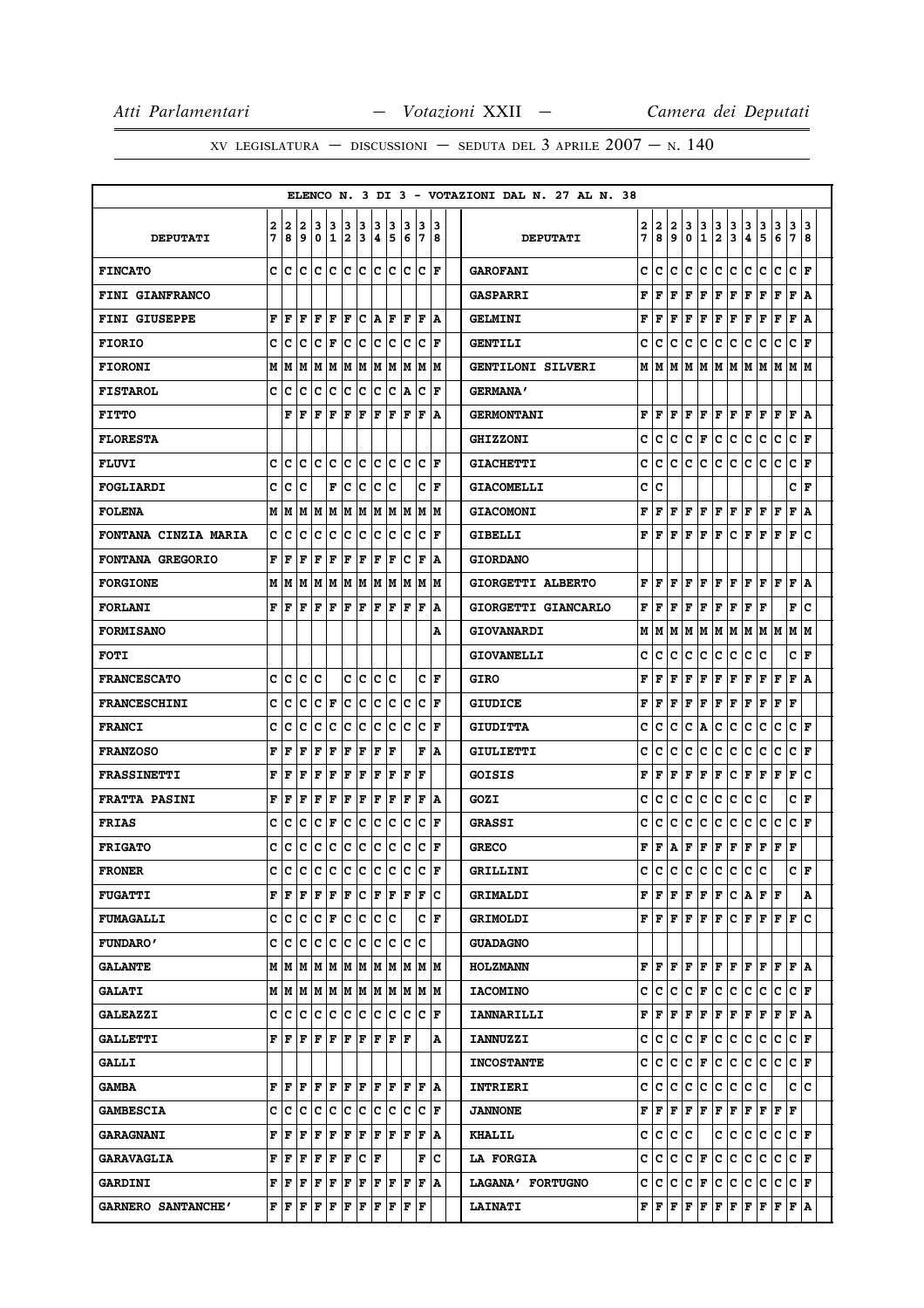|                             |     |       |    |                                                                       |     |       |           |                   |                |     |                                                                                                           |                      |    | ELENCO N. 3 DI 3 - VOTAZIONI DAL N. 27 AL N. 38 |   |                                                        |             |             |               |               |                                   |               |                             |               |                         |     |
|-----------------------------|-----|-------|----|-----------------------------------------------------------------------|-----|-------|-----------|-------------------|----------------|-----|-----------------------------------------------------------------------------------------------------------|----------------------|----|-------------------------------------------------|---|--------------------------------------------------------|-------------|-------------|---------------|---------------|-----------------------------------|---------------|-----------------------------|---------------|-------------------------|-----|
|                             | 2   | 2     | 2  | 3                                                                     | 3   | 3     | 3         | 13                | 13             | 3   | 13                                                                                                        | 13                   |    |                                                 | 2 | 2                                                      | 2           | 3           |               |               |                                   |               |                             |               |                         | 3   |
| <b>DEPUTATI</b>             | 7   | 8     | 9  | 0                                                                     |     | 1/2/3 |           | 4 5               |                | 6   | 17                                                                                                        | 18                   |    | <b>DEPUTATI</b>                                 | 7 | 8                                                      | 9           | 0           | $\frac{3}{1}$ | $\frac{3}{2}$ | $\frac{3}{3}$                     | $\frac{3}{4}$ | $\frac{3}{5}$               | $\frac{3}{6}$ | $\frac{3}{7}$           | 8   |
| <b>FINCATO</b>              | c l | c     |    |                                                                       |     |       |           |                   |                |     | c le le le le le le le le F                                                                               |                      |    | <b>GAROFANI</b>                                 | c | c                                                      | c           | c           | c             | c             | c                                 | c             | c                           | c             | c                       | F   |
| FINI GIANFRANCO             |     |       |    |                                                                       |     |       |           |                   |                |     |                                                                                                           |                      |    | <b>GASPARRI</b>                                 | F | F                                                      | F           | F           | F             | F             | F                                 | F             | F                           | F             | F                       | ١A  |
| <b>FINI GIUSEPPE</b>        | F   | F     | F  | F                                                                     | ΙF  | F     |           | C A F             |                | lF. | lF.                                                                                                       | ١A                   |    | <b>GELMINI</b>                                  | F | F                                                      | F           | F           | F             | F             | F                                 | F             | F                           | F             | F                       | A   |
| <b>FIORIO</b>               | c   | c     | c  | c                                                                     | F   |       | c c       | c c               |                | lc. | $ C $ F                                                                                                   |                      |    | <b>GENTILI</b>                                  | c | c                                                      | c           | c           | c             | с             | с                                 | с             | с                           | с             | c                       | F   |
| <b>FIORONI</b>              | М   | М     | м  |                                                                       |     |       |           |                   |                |     | IM IM IM IM IM IM IM IM                                                                                   |                      |    | <b>GENTILONI SILVERI</b>                        | М | М                                                      | М           | м           | М             | м             | lм                                | м             | M                           | М             | M   M                   |     |
| <b>FISTAROL</b>             | c   | с     | с  | c                                                                     | c   |       |           |                   |                |     | C C C C A C                                                                                               | ١F                   |    | <b>GERMANA'</b>                                 |   |                                                        |             |             |               |               |                                   |               |                             |               |                         |     |
| <b>FITTO</b>                |     | F     | F  | F                                                                     | ΙF  | lF    | ΙF        | F                 | ١F             | ١F  | lF                                                                                                        |                      | ١A | <b>GERMONTANI</b>                               | F | F                                                      | F           | F           | F             | F             | F                                 | F             | F                           | F             | $\mathbf F$             | A   |
| <b>FLORESTA</b>             |     |       |    |                                                                       |     |       |           |                   |                |     |                                                                                                           |                      |    | <b>GHIZZONI</b>                                 | C | с                                                      | c           | с           | F             | с             | с                                 | c             | с                           | c             | c                       | F   |
| <b>FLUVI</b>                | c   | c     |    | c Ic                                                                  | lc. |       | c c       |                   |                |     | C C C F                                                                                                   |                      |    | <b>GIACHETTI</b>                                | C | с                                                      | c           | c           | c             | c             | c                                 | c             | c                           | c             | c                       | l F |
| FOGLIARDI                   | c   | c     | c  |                                                                       | F   | Iс    | lC.       | lC.               | Ιc             |     | c                                                                                                         | ١F                   |    | <b>GIACOMELLI</b>                               | c | c                                                      |             |             |               |               |                                   |               |                             |               | C F                     |     |
| <b>FOLENA</b>               |     | M   M |    |                                                                       |     |       |           |                   |                |     | M  M  M  M  M  M  M  M  M  M                                                                              |                      |    | <b>GIACOMONI</b>                                | F | F                                                      | F           | F           | F             |               | F F                               |               | F F                         | F             | F   A                   |     |
| <b>FONTANA CINZIA MARIA</b> | c   | c     | c  | c                                                                     | c   | c     | c         | lc.               | Ιc             | Ιc  | Ιc                                                                                                        | l F                  |    | <b>GIBELLI</b>                                  | F | F                                                      | F           | F           | F             | F             | c                                 | F             | F                           | F             | F                       | c   |
| FONTANA GREGORIO            | F   | l F   | F  | F                                                                     | F   | F     | F         | F                 | ١F             | Ιc  | ١F                                                                                                        | ١A                   |    | <b>GIORDANO</b>                                 |   |                                                        |             |             |               |               |                                   |               |                             |               |                         |     |
| <b>FORGIONE</b>             | М   | M     | М  |                                                                       |     |       |           |                   |                |     | M  M  M  M  M  M  M  M  M                                                                                 |                      |    | GIORGETTI ALBERTO                               | F | F                                                      | F           | F           | F             | F             | F                                 | F             | F                           | F             | F                       | A   |
| <b>FORLANI</b>              | F   | F     | F  | F                                                                     | F   | l F   | l F       | IF IF             |                | ١F  | ١F                                                                                                        | ١A                   |    | GIORGETTI GIANCARLO                             | F | F                                                      | F           | F           | F             | F             | F                                 | F             | F                           |               | F                       | c   |
| <b>FORMISANO</b>            |     |       |    |                                                                       |     |       |           |                   |                |     |                                                                                                           |                      | А  | GIOVANARDI                                      | м | M                                                      | M           | M           |               |               |                                   |               | M  M  M  M  M  M  M  M      |               |                         |     |
| <b>FOTI</b>                 |     |       |    |                                                                       |     |       |           |                   |                |     |                                                                                                           |                      |    | <b>GIOVANELLI</b>                               | c | c                                                      | c           | c           | с             | c             | с                                 | c             | c                           |               | C∣F                     |     |
| <b>FRANCESCATO</b>          | c   | с     | c  | Ιc                                                                    |     |       | c  c      | c c               |                |     |                                                                                                           | C F                  |    | GIRO                                            | F | F                                                      | F           | F           | F             | F             | F                                 | F             | F                           | F             | F   A                   |     |
| <b>FRANCESCHINI</b>         | c   | c     | c  | c                                                                     | F   | lc.   | ∣c        | c                 | c              | lc  | Ιc                                                                                                        | ΙF                   |    | <b>GIUDICE</b>                                  | F | F                                                      | F           | F           | F             | F             | F                                 | F             | F                           | F             | F                       |     |
| <b>FRANCI</b>               | c   | c     | c  | c                                                                     | c   | lc.   | lc.       |                   | c c            |     | $ c c _F$                                                                                                 |                      |    | <b>GIUDITTA</b>                                 | c | c                                                      | c           | c           | А             | c             | c                                 | c             | c                           | с             | C F                     |     |
| <b>FRANZOSO</b>             | F   | F     | F  | F                                                                     | F   | F     | F         | F                 | ١F             |     | F                                                                                                         | ١A                   |    | GIULIETTI                                       | c | c                                                      | c           | с           | c             | c             | c                                 | c             | c                           | c             | c                       | F   |
| <b>FRASSINETTI</b>          | F   | F     | F  | F                                                                     | F   | F     | F         | F                 | ΙF             | ΙF  | ١F                                                                                                        |                      |    | GOISIS                                          | F | F                                                      | F           | F           | F             | F             | c                                 | F             | F                           | F             | F                       | c   |
| <b>FRATTA PASINI</b>        | F   | F     | F  | F                                                                     | F   | F     | F         | F                 | F              | F   | F  A                                                                                                      |                      |    | GOZI                                            | c | c                                                      | с           | c           | с             | с             | c                                 | c             | c                           |               | C F                     |     |
| <b>FRIAS</b>                | c   | c     | c  | c                                                                     | F   | c     | lc.       | lc.               | Iс             | lc  | Ιc                                                                                                        | ١F                   |    | <b>GRASSI</b>                                   | c | c                                                      | c           | c           | с             | с             | c                                 | c             | c                           | с             | c                       | F   |
| <b>FRIGATO</b>              | c   | c     | с  | с                                                                     | c   | lc.   | c         | c c               |                | ∣c  |                                                                                                           | $ {\bf C}  {\bf F} $ |    | <b>GRECO</b>                                    | F | F                                                      | А           | F           | F             | F             | F                                 | F             | F                           | F             | F                       |     |
| <b>FRONER</b>               | c   | c     | c  | c                                                                     |     |       | c c c c c |                   |                | c   | lc                                                                                                        | l F                  |    | <b>GRILLINI</b>                                 | c | C                                                      | c           | $\mathbf c$ | c             | $\mathbf c$   | c                                 | c             | C                           |               | c                       | F   |
| <b>FUGATTI</b>              |     |       |    |                                                                       |     |       |           |                   |                |     | ${\bf F}$ $\bf [F]$ $\bf [F]$ $\bf [F]$ $\bf [C]$ $\bf [F]$ $\bf [F]$ $\bf [C]$                           |                      |    | GRIMALDI                                        |   | FIF                                                    | F           | F           |               | F F           |                                   |               | $CL$ $F$ $F$                |               |                         | A   |
| <b>FUMAGALLI</b>            |     |       |    | C C C F C C C C C                                                     |     |       |           |                   |                |     |                                                                                                           | C F                  |    | <b>GRIMOLDI</b>                                 |   | F F F                                                  |             |             | F F           | F             |                                   |               | C F F                       |               | F F C                   |     |
| <b>FUNDARO'</b>             |     | c Ic  | c  | c                                                                     | с   |       |           |                   | le le le le le |     | lc                                                                                                        |                      |    | <b>GUADAGNO</b>                                 |   |                                                        |             |             |               |               |                                   |               |                             |               |                         |     |
| <b>GALANTE</b>              |     |       |    |                                                                       |     |       |           |                   |                |     | $M$   $M$   $M$   $M$   $M$   $M$   $M$   $M$   $M$   $M$   $M$                                           |                      |    | <b>HOLZMANN</b>                                 |   | FF                                                     | F           |             | F F           |               |                                   |               | $F$ $F$ $F$ $F$ $F$ $F$ $A$ |               |                         |     |
| <b>GALATI</b>               |     |       |    |                                                                       |     |       |           |                   |                |     |                                                                                                           |                      |    | <b>IACOMINO</b>                                 | c | с                                                      | с           | с           | F             | c             | c                                 | c             | с                           | с             | CF                      |     |
| <b>GALEAZZI</b>             | c   | c     | с  |                                                                       | c c |       |           |                   |                |     | $ {\mathbf{c}}\, {\mathbf{c}}\, {\mathbf{c}}\, {\mathbf{c}}\, {\mathbf{c}}\, {\mathbf{c}}\, {\mathbf{r}}$ |                      |    | <b>IANNARILLI</b>                               | F | F                                                      | F           | F           | F             | F             | Г                                 | F             | F                           | F             | F   A                   |     |
| <b>GALLETTI</b>             |     | FF    |    | $\bf{F}$ $\bf{F}$                                                     |     |       |           |                   |                |     |                                                                                                           |                      | Α  | <b>IANNUZZI</b>                                 | c | с                                                      | c           | c           | F             | c             | c                                 | c             | c                           | c             | C F                     |     |
| <b>GALLI</b>                |     |       |    |                                                                       |     |       |           |                   |                |     |                                                                                                           |                      |    | <b>INCOSTANTE</b>                               | c | c                                                      | c           | c           | F             | c             | c                                 | c             | c                           | c             | CF                      |     |
| <b>GAMBA</b>                |     | FF    | ΙF |                                                                       |     |       |           |                   |                |     |                                                                                                           |                      |    | INTRIERI                                        | c | c                                                      | с           | с           | с             | с             | с                                 |               | c c                         |               | c  c                    |     |
| <b>GAMBESCIA</b>            | c l | c     | C  |                                                                       |     |       |           |                   |                |     | c  c  c  c  c  c  c  c  F                                                                                 |                      |    | <b>JANNONE</b>                                  | F | F                                                      | F           | F           | F             | F             | F                                 | F             | FF                          |               | F                       |     |
| <b>GARAGNANI</b>            |     | FF    | F  | F F                                                                   |     |       |           |                   |                |     | $F$ $F$ $F$ $F$ $F$ $F$ $A$                                                                               |                      |    | <b>KHALIL</b>                                   | c | с                                                      | $ {\bf c} $ | c           |               | c             | с                                 | с             | с                           | с             | $ {\tt C} \,  $ $\bf F$ |     |
| <b>GARAVAGLIA</b>           |     | FF    | F  | F                                                                     | F F |       |           | $ {\tt C} \;  $ F |                |     | F                                                                                                         | ΙC                   |    | <b>LA FORGIA</b>                                | c | с                                                      | с           | с           | F             | с             | с                                 | с             | с                           | с             | CF                      |     |
| <b>GARDINI</b>              |     | FF    | ΙF | F                                                                     | F   | F F   |           | F F               |                |     | F F A                                                                                                     |                      |    | LAGANA' FORTUGNO                                | c | c                                                      | с           | c           | F             | с             | с                                 | с             | с                           | с             | C F                     |     |
| GARNERO SANTANCHE'          |     |       |    | ${\bf F}\, \,{\bf F}\, \,{\bf F}\, \,{\bf F}\, \,{\bf F}\, \,{\bf F}$ |     |       | F F       |                   | ΙF             | ΙF  | F                                                                                                         |                      |    | <b>LAINATI</b>                                  |   | $\mathbf{F} \parallel \mathbf{F} \parallel \mathbf{F}$ |             |             | F F           |               | $\mathbf{F} \parallel \mathbf{F}$ |               | F F F F A                   |               |                         |     |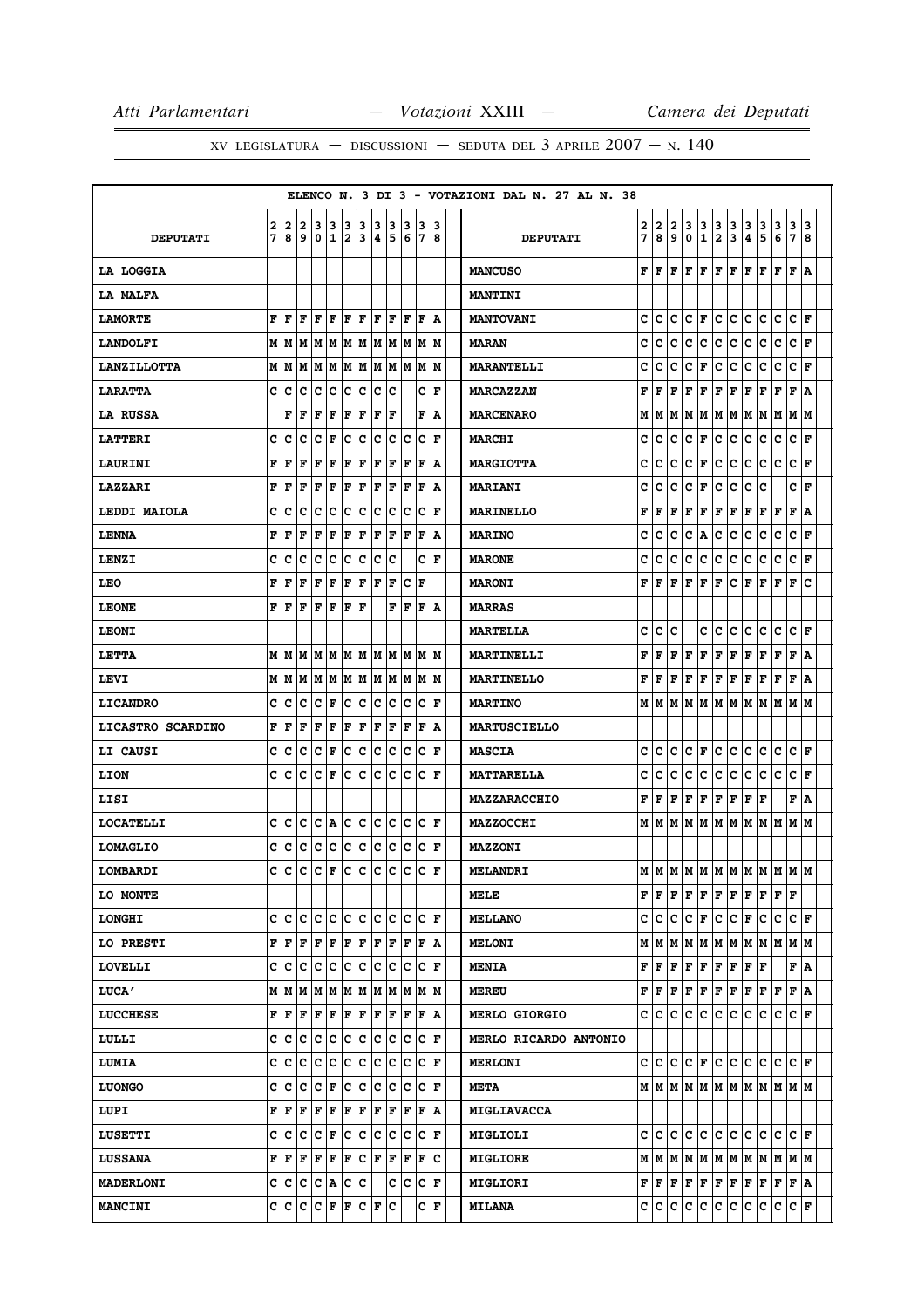# XV LEGISLATURA — DISCUSSIONI — SEDUTA DEL 3 APRILE  $2007 - N.$  140

|                    |        |              |                                                     |        |                      |          |                        |                   |                        |              |                                                                                            |        |   | ELENCO N. 3 DI 3 - VOTAZIONI DAL N. 27 AL N. 38 |        |        |        |                  |                   |                              |                              |                |        |        |                         |        |
|--------------------|--------|--------------|-----------------------------------------------------|--------|----------------------|----------|------------------------|-------------------|------------------------|--------------|--------------------------------------------------------------------------------------------|--------|---|-------------------------------------------------|--------|--------|--------|------------------|-------------------|------------------------------|------------------------------|----------------|--------|--------|-------------------------|--------|
| <b>DEPUTATI</b>    | 2<br>7 | 2<br>8       | $\overline{2}$<br>9                                 | 3<br>0 | $\mathbf{1}$         | 3 3<br>2 | 3<br>3                 | 3<br>4            | 3<br>5                 | 3<br>6       | 3<br>17                                                                                    | 3<br>8 |   | <b>DEPUTATI</b>                                 | 2<br>7 | 2<br>8 | 2<br>9 | 3<br>$\mathbf 0$ | 3<br>$\mathbf{1}$ | 3<br>$\overline{\mathbf{2}}$ | 3<br>$\overline{\mathbf{3}}$ | 3<br>$\pmb{4}$ | 3<br>5 | 3<br>6 | 3<br>7                  | 3<br>8 |
| <b>LA LOGGIA</b>   |        |              |                                                     |        |                      |          |                        |                   |                        |              |                                                                                            |        |   | <b>MANCUSO</b>                                  | F      | l F    | F      | F                | F                 | $\mathbf F$                  | F                            | F              | F      | F      | F                       | ١A     |
| LA MALFA           |        |              |                                                     |        |                      |          |                        |                   |                        |              |                                                                                            |        |   | <b>MANTINI</b>                                  |        |        |        |                  |                   |                              |                              |                |        |        |                         |        |
| <b>LAMORTE</b>     | F      | F            | F                                                   | F      | F                    | F        | F                      | l F               | F                      | l F          | l F                                                                                        | ١A     |   | <b>MANTOVANI</b>                                | c      | c      | c      | c                | F                 | c                            | c                            | c              | c      | c      | C F                     |        |
| <b>LANDOLFI</b>    |        |              |                                                     |        |                      |          |                        |                   |                        |              |                                                                                            |        |   | <b>MARAN</b>                                    | c      | c      | c      | c                | c                 | c                            | c                            | c              | c      | c      | $ {\bf C}\>  {\bf F}\>$ |        |
| <b>LANZILLOTTA</b> |        | M   M        |                                                     |        |                      |          |                        |                   | M  M  M  M  M  M  M  M |              | lМ                                                                                         | lМ     |   | <b>MARANTELLI</b>                               | c      | c      | c      | c                | F                 | c                            | c                            | c              | c      | c      | c                       | l F    |
| <b>LARATTA</b>     | c      | c            | с                                                   | с      | с                    | c        | c                      | c                 | c                      |              | c                                                                                          | F      |   | <b>MARCAZZAN</b>                                | F      | F      | F      | F                | F                 | $\mathbf F$                  | F                            | F              | F      | F      | F                       | ١A     |
| <b>LA RUSSA</b>    |        | F            | F                                                   | F      | F                    | F        | F                      | F                 | F                      |              | F                                                                                          | A      |   | <b>MARCENARO</b>                                | М      | M      | М      | M                | M                 | M                            | M                            | M              | M      | M      | М                       | M      |
| <b>LATTERI</b>     | c      | C            | c                                                   | c      | F                    | c        | c                      | c.                | c                      | c            | c                                                                                          | l F    |   | <b>MARCHI</b>                                   | c      | lc.    | c      | c                | F                 | $\mathbf c$                  | c                            | c              | c      | c      | lc.                     | ١F     |
| LAURINI            | F      | F            | F                                                   | F      | F                    | F        | F                      | F                 | F                      | F            | F                                                                                          | A      |   | <b>MARGIOTTA</b>                                | c      | c      | c      | c                | F                 | c                            | c                            | c              | c      | c      | c                       | l F    |
| <b>LAZZARI</b>     | F      | F            | F                                                   | F      | F                    | F        | F                      | F                 | F                      | F            | l F                                                                                        | A      |   | <b>MARIANI</b>                                  | c      | c      | c      | c                | F                 | c                            | c                            | c              | c      |        | c                       | l F    |
| LEDDI MAIOLA       | c      | c            | c                                                   | c      | c                    | lc.      | c                      | lc.               | ∣c                     | c            | lc.                                                                                        | F      |   | MARINELLO                                       | F      | F      | F      | F                | F                 | $\mathbf F$                  | F                            | F              | F      | F      | F                       | ١A     |
| <b>LENNA</b>       | F      | F            | F                                                   | F      | F                    | F        | F                      | l F               | F                      | F            | F                                                                                          | A      |   | <b>MARINO</b>                                   | c      | c      | c      | с                | A                 | c                            | c                            | с              | с      | c      | c                       | F      |
| LENZI              | с      | c            | с                                                   | с      | с                    | c        | c                      | lc.               | c                      |              | c                                                                                          | ١F     |   | <b>MARONE</b>                                   | c      | c      | c      | c                | c                 | c                            | c                            | c              | с      | c      | c                       | ١F     |
| LEO                | F      | F            | F                                                   | F      | F                    | F        | F                      | $\mathbf{F}$      | F                      | c            | F                                                                                          |        |   | <b>MARONI</b>                                   | F      | F      | F      | F                | F                 | F                            | lc                           | F              | F      | F      | F                       | c      |
| <b>LEONE</b>       | F      | F            | F                                                   | F      | F                    | l F      | F                      |                   | F                      | lF           | l F                                                                                        | ١A     |   | <b>MARRAS</b>                                   |        |        |        |                  |                   |                              |                              |                |        |        |                         |        |
| <b>LEONI</b>       |        |              |                                                     |        |                      |          |                        |                   |                        |              |                                                                                            |        |   | <b>MARTELLA</b>                                 | c      | c      | c      |                  | c                 | c                            | c                            | c              | c      | c      | c                       | ١F     |
| <b>LETTA</b>       |        | M   M        | lМ                                                  |        | M  M                 |          |                        |                   | M  M  M  M             | lМ           | IМ                                                                                         | lМ     |   | MARTINELLI                                      | F      | F      | F      | F                | F                 | F                            | F                            | F              | F      | F      | F                       | A      |
| LEVI               |        |              |                                                     |        |                      |          |                        |                   |                        |              |                                                                                            |        |   | <b>MARTINELLO</b>                               | F      | F      | F      | F                | F                 | $\mathbf F$                  | F                            | F              | F      | F      | F                       | ١A     |
| <b>LICANDRO</b>    | c      | c            | с                                                   | с      | F                    | c        | c                      | c.                | c                      | c            | c                                                                                          | F      |   | <b>MARTINO</b>                                  | M      | M      |        | MM               | M                 |                              | M   M   M                    |                | M      | М      | мm                      |        |
| LICASTRO SCARDINO  | F      | F            | F                                                   | F      | F                    | F        | F                      | F                 | F                      | F            | F                                                                                          | ١A     |   | <b>MARTUSCIELLO</b>                             |        |        |        |                  |                   |                              |                              |                |        |        |                         |        |
| <b>LI CAUSI</b>    | c      | c            | c                                                   | c      | F                    | c        | c                      | c                 | c                      | c            | c                                                                                          | l F    |   | <b>MASCIA</b>                                   | c      | c      | c      | c                | F                 | c                            | lc.                          | c              | c      | c      | lc.                     | ١F     |
| LION               | c      | c            | c                                                   | c      | F                    | IC.      | c                      | c                 | lc.                    | c            | c                                                                                          | ΙF     |   | <b>MATTARELLA</b>                               | c      | c      | c      | c                | c                 | c                            | lc.                          | c              | lc.    | c      | lc.                     | l F    |
| LISI               |        |              |                                                     |        |                      |          |                        |                   |                        |              |                                                                                            |        |   | MAZZARACCHIO                                    | F      | F      | F      | $\mathbf F$      | F                 | $\mathbf F$                  | F                            | F              | l F    |        | F                       | ١A     |
| <b>LOCATELLI</b>   | c      | c            | c                                                   | c      | A                    |          | c c                    |                   | c c                    | Iс           | IC.                                                                                        | ΙF     |   | <b>MAZZOCCHI</b>                                |        | MIM    | М      | lм               | lм                |                              | M M                          | M              | M M    |        | M  M                    |        |
| <b>LOMAGLIO</b>    | c      | c            | с                                                   | c      | lc.                  |          | c c                    |                   | c c                    |              | C C F                                                                                      |        |   | <b>MAZZONI</b>                                  |        |        |        |                  |                   |                              |                              |                |        |        |                         |        |
| LOMBARDI           | c      | c            | c.                                                  |        | $ c _F c c c$        |          |                        |                   | lc.                    | lc           | lc.                                                                                        | ١F     |   | <b>MELANDRI</b>                                 |        |        |        |                  |                   |                              | MMMMMMMMMMMMMM               |                |        |        |                         |        |
| LO MONTE           |        |              |                                                     |        |                      |          |                        |                   |                        |              |                                                                                            |        |   | MELE                                            | F      | F      | F      | $\mathbf F$      | F                 | $\mathbf F$                  | F                            | F              | F      | F      | F                       |        |
| <b>LONGHI</b>      | c      | c            | c                                                   |        | c c                  |          | c c                    |                   | c c                    |              | $ C C $ $\mathbf F$                                                                        |        |   | <b>MELLANO</b>                                  | c      | lc.    | lc.    | c                | F                 | c                            | c.                           | F              | lc.    | c      | $ {\bf C}\>  $ F        |        |
| LO PRESTI          | F      | $\mathbf{F}$ | F                                                   | F      | F                    |          | F F                    | F F               |                        | $\mathbf{F}$ | F                                                                                          | ۱A     |   | <b>MELONI</b>                                   |        | M   M  | M      | M                | M                 | M                            | M                            | M              | M      | lМ     | M  M                    |        |
| <b>LOVELLI</b>     | c      | c            | c                                                   |        |                      |          |                        |                   |                        |              | c  c  c  c  c  c  c  c  F                                                                  |        |   | <b>MENIA</b>                                    | F      | F      | F      | $\mathbf F$      | F                 | $\mathbf F$                  | F                            | F              | l F    |        | F A                     |        |
| <b>LUCA'</b>       |        |              | $M$   $M$   $M$   $M$   $M$   $M$   $M$   $M$   $M$ |        |                      |          |                        |                   |                        | lм           | IM IM                                                                                      |        |   | <b>MEREU</b>                                    | F      | F      | F      | F                | F                 | F                            | F                            | F              | F      | F      | F                       | ١A     |
| <b>LUCCHESE</b>    |        | FF           | F                                                   |        | F F                  |          | F F                    |                   |                        |              | F F F F                                                                                    | ١A     |   | <b>MERLO GIORGIO</b>                            |        | c c    | c      | c                | c                 | c                            | c                            | c              | c      | c      | C F                     |        |
| LULLI              | c      | с            | с                                                   | c      | с                    |          | c c                    |                   | c c                    | IС           | с                                                                                          | F      |   | MERLO RICARDO ANTONIO                           |        |        |        |                  |                   |                              |                              |                |        |        |                         |        |
| <b>LUMIA</b>       | c      | c            | c                                                   | c      | c                    |          | c c                    |                   | c c                    |              | C C F                                                                                      |        |   | <b>MERLONI</b>                                  |        | c c    | lc.    | lc.              | F                 | c.                           | lc.                          | c              | lc.    | c      | $ {\bf c}\> _{\bf F}$   |        |
| <b>LUONGO</b>      | c      | c            | с                                                   | c      | F                    | c        | lc.                    |                   | c c                    | с            | c                                                                                          | F      |   | <b>META</b>                                     |        |        |        |                  |                   |                              |                              |                |        |        |                         |        |
| LUPI               | F      | F            | F                                                   | F      | F                    | F        | F                      | F                 | F                      | F            | F                                                                                          | ١A     |   | MIGLIAVACCA                                     |        |        |        |                  |                   |                              |                              |                |        |        |                         |        |
| <b>LUSETTI</b>     | c      | c            | c.                                                  | c      | F                    |          |                        |                   |                        |              | $ {\mathbf{C}}\, {\mathbf{C}}\, {\mathbf{C}}\, {\mathbf{C}}\, {\mathbf{C}}\, {\mathbf{F}}$ |        |   | MIGLIOLI                                        |        | c  c   | c      | c                | C                 |                              | c c c                        |                | c c    |        | C F                     |        |
| <b>LUSSANA</b>     | F      | ١F           | F                                                   | F      | F                    | F        |                        | $ {\tt C} \;  $ F | F                      | F            | F                                                                                          |        | c | <b>MIGLIORE</b>                                 |        | M   M  |        |                  |                   |                              | M   M   M   M   M            |                | M      | lм     | M  M                    |        |
| <b>MADERLONI</b>   |        | C C          |                                                     |        | C C A C C            |          |                        |                   |                        |              | $ {\tt C}\, {\tt C}\, {\tt F}\, $                                                          |        |   | <b>MIGLIORI</b>                                 |        | F F F  |        | F                | F                 | F                            | IF.                          | F              | F      | F      | F A                     |        |
| <b>MANCINI</b>     |        | c c          | $\mathbf{C}$                                        |        | $ {\bf C}  {\bf F} $ | F        | $ {\tt C}\, {\tt F}\>$ |                   | c                      |              | C F                                                                                        |        |   | <b>MILANA</b>                                   |        | c  c   | c      | c                | c                 | c                            | c                            | c              | c      | c      | $ {\bf C}  {\bf F} $    |        |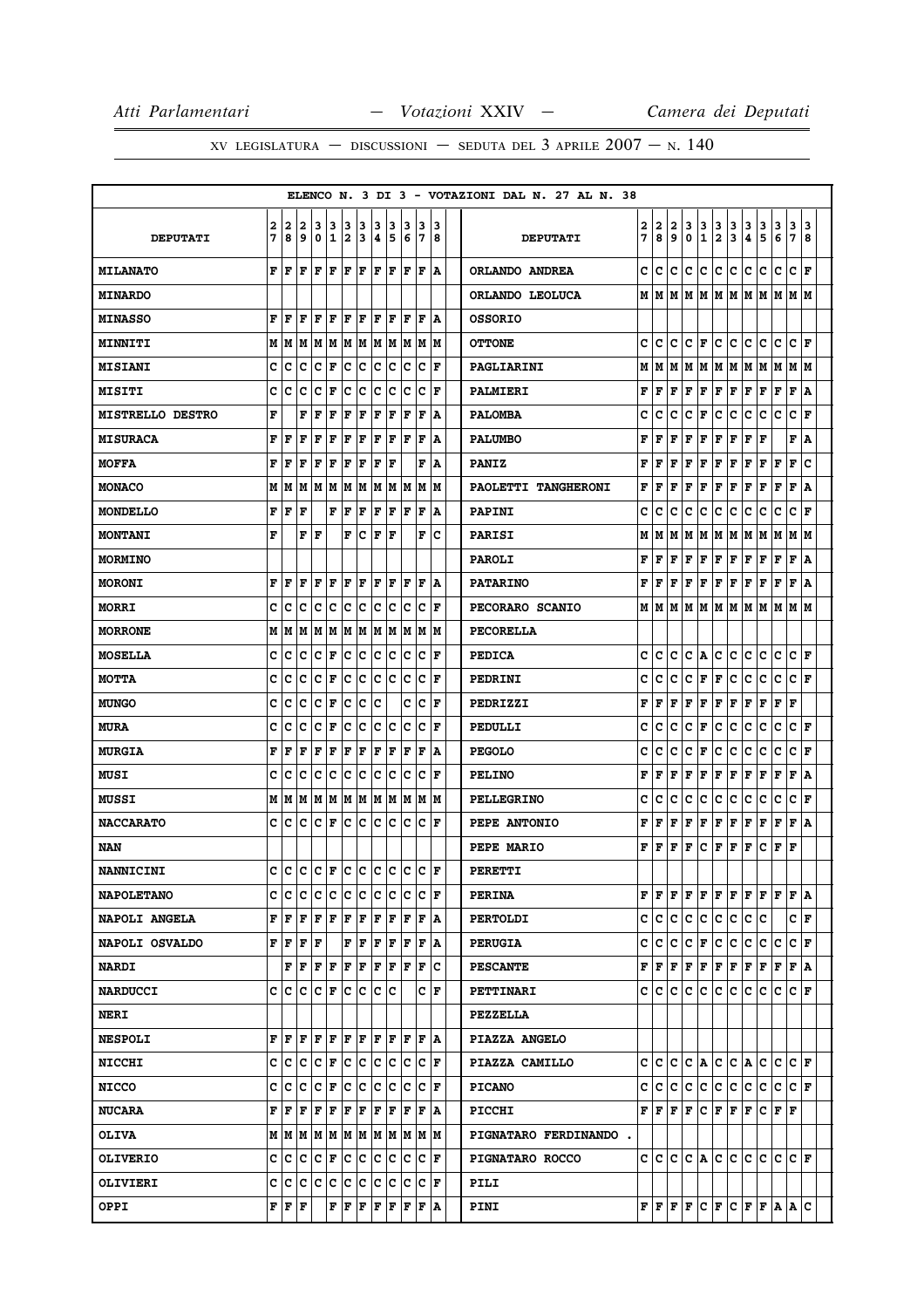|                         |        |                                               |                           |                      |                    |         |            |         |         |        |                                                                                                                                                                                                    |    |         | ELENCO N. 3 DI 3 - VOTAZIONI DAL N. 27 AL N. 38 |        |        |        |        |                            |                              |                                                                                                                                                                                                       |        |        |        |                         |        |
|-------------------------|--------|-----------------------------------------------|---------------------------|----------------------|--------------------|---------|------------|---------|---------|--------|----------------------------------------------------------------------------------------------------------------------------------------------------------------------------------------------------|----|---------|-------------------------------------------------|--------|--------|--------|--------|----------------------------|------------------------------|-------------------------------------------------------------------------------------------------------------------------------------------------------------------------------------------------------|--------|--------|--------|-------------------------|--------|
| <b>DEPUTATI</b>         | 2<br>7 | 2<br>8                                        | 12<br>و ا                 | 3<br>١o              | 13<br>$\mathbf{1}$ | 13<br>2 | 13<br>3    | 3<br> 4 | 13<br>5 | 3<br>6 | 13<br>17                                                                                                                                                                                           |    | 13<br>8 | <b>DEPUTATI</b>                                 | 2<br>7 | 2<br>8 | 2<br>9 | 3<br>0 | 3<br>1                     | 3<br>$\overline{\mathbf{2}}$ | 3<br>3                                                                                                                                                                                                | 3<br>4 | 3<br>5 | 3<br>6 | 3<br>$\overline{7}$     | 3<br>8 |
| <b>MILANATO</b>         |        | F F                                           | lF.                       |                      |                    |         |            |         |         |        | F F F F F F F F A                                                                                                                                                                                  |    |         | ORLANDO ANDREA                                  | c      | lc.    | c      | c      | lc.                        | $\mathbf c$                  | c                                                                                                                                                                                                     | c      | lc.    | с      | $\mathbf c$             | l F    |
| <b>MINARDO</b>          |        |                                               |                           |                      |                    |         |            |         |         |        |                                                                                                                                                                                                    |    |         | ORLANDO LEOLUCA                                 |        |        |        |        |                            |                              |                                                                                                                                                                                                       |        |        |        |                         |        |
| <b>MINASSO</b>          | F      | ١F                                            | l F                       | lF                   | ΙF                 | l F     | ١F         | ١F      | ١F      | F      | lF                                                                                                                                                                                                 |    | ١A      | <b>OSSORIO</b>                                  |        |        |        |        |                            |                              |                                                                                                                                                                                                       |        |        |        |                         |        |
| <b>MINNITI</b>          |        |                                               |                           |                      |                    |         |            |         |         |        | $M$   $M$   $M$   $M$   $M$   $M$   $M$   $M$   $M$   $M$   $M$                                                                                                                                    |    |         | <b>OTTONE</b>                                   | c      | c      | c      | с      | F                          | c                            | c c                                                                                                                                                                                                   |        | lc.    | lC.    | $ {\bf c}\> _{\bf F}$   |        |
| <b>MISIANI</b>          | c      | C                                             | c                         | Iс                   | F                  | lc.     | Ιc         | IC.     | Iс      | Ιc     | Ιc                                                                                                                                                                                                 |    | ١F      | PAGLIARINI                                      | М      | M      | M      | М      | M                          | М                            | lм                                                                                                                                                                                                    | M      | M      | M      | М                       | lм     |
| <b>MISITI</b>           | c      | C                                             | Iс                        | Iс                   | ΙF                 | Ιc      | ١c         | lc.     | Ιc      | lc     | lc.                                                                                                                                                                                                |    | ١F      | PALMIERI                                        | F      | F      | F      | F      | F                          | F                            | F                                                                                                                                                                                                     | F      | F      | F      | F                       | ١A     |
| <b>MISTRELLO DESTRO</b> | F      |                                               | F                         | F                    | l F                | F       | l F        | lF      | lF      | l F    | F                                                                                                                                                                                                  |    | ١A      | <b>PALOMBA</b>                                  | c      | c      | c      | c      | F                          | c                            | c                                                                                                                                                                                                     | c      | c      | c      | c                       | F      |
| <b>MISURACA</b>         | F      | l F                                           | l F                       | lF                   | ΙF                 | lF.     | F          | ١F      | ١F      | İΕ     | ١F                                                                                                                                                                                                 |    | ١A      | <b>PALUMBO</b>                                  | F      | F      | F      | F      | F                          | F                            | F                                                                                                                                                                                                     | F      | F      |        | F                       | ١A     |
| <b>MOFFA</b>            | F      | l F                                           | ΙF                        | F                    | F                  | F       | F          | l F     | ١F      |        | F                                                                                                                                                                                                  |    | ١A      | <b>PANIZ</b>                                    | F      | F      | F      | F      | F                          | F                            | F                                                                                                                                                                                                     | F      | F      | F      | F                       | c      |
| <b>MONACO</b>           |        | MIM                                           |                           |                      |                    |         |            |         |         |        | M  M  M  M  M  M  M  M  M                                                                                                                                                                          |    | IМ      | PAOLETTI TANGHERONI                             | F      | F      | F      | F      | F                          | F                            | F                                                                                                                                                                                                     | F      | F      | F      | F                       | A      |
| <b>MONDELLO</b>         | F      | F                                             | ١F                        |                      |                    | F F     | F          |         |         |        | F F F F                                                                                                                                                                                            |    | ١A      | <b>PAPINI</b>                                   | c      | c      | c      | c      | c                          | с                            | lc.                                                                                                                                                                                                   | с      | c      | c      | c                       | l F    |
| <b>MONTANI</b>          | F      |                                               | F                         | lF                   |                    | F       | c          | l F     | ΙF      |        | F                                                                                                                                                                                                  |    | Ιc      | PARISI                                          | М      | M      | M      | М      | lм                         | М                            | lм                                                                                                                                                                                                    | M      | M      | M      | М                       | IМ     |
| <b>MORMINO</b>          |        |                                               |                           |                      |                    |         |            |         |         |        |                                                                                                                                                                                                    |    |         | <b>PAROLI</b>                                   | F      | F      | F      | F      | F                          | $\mathbf F$                  | F                                                                                                                                                                                                     | Г      | Г      | F      | F                       | ١A     |
| <b>MORONI</b>           | F      | l F                                           | ΙF                        | F                    | ١F                 | l F     | ١F         | l F     | ١F      | ١F     | ١F                                                                                                                                                                                                 |    | ١A      | <b>PATARINO</b>                                 | F      | F      | F      | F      | F                          | F                            | F                                                                                                                                                                                                     | F      | F      | F      | $\mathbf{F}$            | ١A     |
| <b>MORRI</b>            | c      | Iс                                            | с                         | Iс                   | Iс                 | Iс      | lc.        | c c     |         | Ιc     | IC IF                                                                                                                                                                                              |    |         | PECORARO SCANIO                                 |        | MM     | M      | lм     | lм                         |                              | M   M   M                                                                                                                                                                                             |        | lм     | lм     | lм                      | lм     |
| <b>MORRONE</b>          |        |                                               |                           |                      |                    |         |            |         |         |        |                                                                                                                                                                                                    |    |         | <b>PECORELLA</b>                                |        |        |        |        |                            |                              |                                                                                                                                                                                                       |        |        |        |                         |        |
| <b>MOSELLA</b>          | c      | ١c                                            | c                         | IC IF                |                    | lc.     | c c c      |         |         | ΙC     | IC IF                                                                                                                                                                                              |    |         | <b>PEDICA</b>                                   | c      | c      | c      | c      | l A                        | c                            | c                                                                                                                                                                                                     | c      | c      | c      | c                       | ١F     |
| МОТТА                   | c      | ١c                                            | Iс                        | $ {\bf C}  {\bf F} $ |                    |         |            |         |         |        | C C C C C F                                                                                                                                                                                        |    |         | PEDRINI                                         | c      | с      | c      | c      | F                          | F                            | c.                                                                                                                                                                                                    | c      | c      | c      | C F                     |        |
| <b>MUNGO</b>            | c      | с                                             | c                         | Iс                   | F                  | Iс      | ∣c         | lc      |         | c      | Iс                                                                                                                                                                                                 |    | l F     | PEDRIZZI                                        | F      | F      | F      | F      | F                          | F                            | F                                                                                                                                                                                                     | F      | F      | F      | F                       |        |
| <b>MURA</b>             | c      | c                                             | lc                        | $ {\bf C}  {\bf F} $ |                    | c       | $ {\bf c}$ | c c     |         | lc.    | lc.                                                                                                                                                                                                | ١F |         | PEDULLI                                         | c      | c      | c      | c      | F                          | c                            | lc.                                                                                                                                                                                                   | c      | c      | c      | $\mathbf c$             | l F    |
| <b>MURGIA</b>           | F      | l F                                           | ΙF                        | lF                   | ١F                 | F       | F          | F       | ŀF      | ١F     | ١F                                                                                                                                                                                                 |    | ١A      | <b>PEGOLO</b>                                   | C      | c      | C      | c      | F                          | C                            | c                                                                                                                                                                                                     | c      | c      | c      | c                       | l F    |
| MUSI                    | c      | Iс                                            | Ιc                        | lc                   | c c c              |         |            | c c     |         | Ιc     | lC.                                                                                                                                                                                                | ΙF |         | <b>PELINO</b>                                   | F      | F      | F      | F      | F                          | F                            | F                                                                                                                                                                                                     | F      | F      | F      | F                       | A      |
| <b>MUSSI</b>            |        |                                               |                           |                      |                    |         |            |         |         |        |                                                                                                                                                                                                    |    |         | <b>PELLEGRINO</b>                               | c      | c      | c      | с      | c                          | c                            | c                                                                                                                                                                                                     | c      | c      | c      | c                       | l F    |
| <b>NACCARATO</b>        |        | c Ic                                          |                           | IC IC IF             |                    |         |            |         |         |        |                                                                                                                                                                                                    |    |         | PEPE ANTONIO                                    | F      | F      | F      | F      | F                          | F                            | F                                                                                                                                                                                                     | F      | F      | F      | F                       | A      |
| NAN                     |        |                                               |                           |                      |                    |         |            |         |         |        |                                                                                                                                                                                                    |    |         | PEPE MARIO                                      | F      | F      | F      | F      | c                          | F                            | F                                                                                                                                                                                                     | F      | c      | F      | F                       |        |
| <b>NANNICINI</b>        | c      | ١c                                            |                           |                      |                    |         |            |         |         |        | c  c  F  c  c  c  c  c  c  F                                                                                                                                                                       |    |         | PERETTI                                         |        |        |        |        |                            |                              |                                                                                                                                                                                                       |        |        |        |                         |        |
| <b>NAPOLETANO</b>       |        | c Ic                                          |                           |                      |                    |         |            |         |         |        | C C C C C C C C F                                                                                                                                                                                  |    |         | <b>PERINA</b>                                   | F      | lF.    | F      | F      | F                          | F                            | F                                                                                                                                                                                                     | lF.    | lF.    | lF.    | F A                     |        |
| <b>NAPOLI ANGELA</b>    |        |                                               |                           |                      |                    |         |            |         |         |        |                                                                                                                                                                                                    |    |         | <b>PERTOLDI</b>                                 | C      | lc.    | c      | c      | c                          | $\mathbf c$                  | c                                                                                                                                                                                                     | c      | lc.    |        | C∣F                     |        |
| NAPOLI OSVALDO          |        |                                               | FFFFF                     |                      |                    |         |            |         |         |        | $\mathbf{F} \left  \mathbf{F} \right. \left  \mathbf{F} \right. \left  \mathbf{F} \right. \left  \mathbf{F} \right. \left  \mathbf{F} \right. \left  \mathbf{A} \right.$                           |    |         | <b>PERUGIA</b>                                  | c      | c      | c      | c      | F                          | c                            | c                                                                                                                                                                                                     | c      | c      | c      | C F                     |        |
| <b>NARDI</b>            |        |                                               |                           |                      |                    |         |            |         |         |        | F   F   F   F   F   F   F   F   F   C                                                                                                                                                              |    |         | <b>PESCANTE</b>                                 | F      | F F    |        | F      | F                          |                              | F F F F                                                                                                                                                                                               |        |        | F      | F A                     |        |
| <b>NARDUCCI</b>         |        |                                               | c  c  c  c  F  c  c  c  c |                      |                    |         |            |         |         |        |                                                                                                                                                                                                    | CF |         | <b>PETTINARI</b>                                |        | c Ic   | c      | c      | lC.                        | c                            | lc.                                                                                                                                                                                                   | c      | c      | lc.    | C F                     |        |
| <b>NERI</b>             |        |                                               |                           |                      |                    |         |            |         |         |        |                                                                                                                                                                                                    |    |         | <b>PEZZELLA</b>                                 |        |        |        |        |                            |                              |                                                                                                                                                                                                       |        |        |        |                         |        |
| <b>NESPOLI</b>          |        |                                               |                           |                      |                    |         |            |         |         |        | ${\bf F}\, \, {\bf F}\, \, {\bf F}\, \, {\bf F}\, \, {\bf F}\, \, {\bf F}\, \, {\bf F}\, \, {\bf F}\, \, {\bf F}\, \, {\bf F}\, \, {\bf A}$                                                        |    |         | PIAZZA ANGELO                                   |        |        |        |        |                            |                              |                                                                                                                                                                                                       |        |        |        |                         |        |
| <b>NICCHI</b>           |        |                                               |                           |                      |                    |         |            |         |         |        | C C C C F C C C C C C F                                                                                                                                                                            |    |         | PIAZZA CAMILLO                                  | c      | lc.    | lc.    |        |                            |                              | $ C $ a $ C C $ a $ C C$                                                                                                                                                                              |        |        |        | $ {\bf C}\>  {\bf F}\>$ |        |
| <b>NICCO</b>            |        |                                               |                           |                      |                    |         |            |         |         |        |                                                                                                                                                                                                    |    |         | <b>PICANO</b>                                   | c      | IC.    | с      | c      | с                          | c.                           | c c                                                                                                                                                                                                   |        | lc.    | с      | C F                     |        |
| <b>NUCARA</b>           |        | ${\bf F}$ $\bf   \bf F$ $\bf   \bf F$         |                           |                      |                    |         |            |         |         |        |                                                                                                                                                                                                    |    |         | <b>PICCHI</b>                                   |        | FIF    | lF.    | lF.    | $ {\tt C} \,  $ $\bf F \,$ |                              | lF.                                                                                                                                                                                                   | lF.    | IC IF. |        | lF.                     |        |
| <b>OLIVA</b>            |        |                                               |                           |                      |                    |         |            |         |         |        | $M$   $M$   $M$   $M$   $M$   $M$   $M$   $M$   $M$   $M$   $M$                                                                                                                                    |    |         | PIGNATARO FERDINANDO.                           |        |        |        |        |                            |                              |                                                                                                                                                                                                       |        |        |        |                         |        |
| <b>OLIVERIO</b>         |        |                                               |                           |                      |                    |         |            |         |         |        |                                                                                                                                                                                                    |    |         | PIGNATARO ROCCO                                 |        | c Ic   | c      |        | C A                        | c                            | c c                                                                                                                                                                                                   |        | lc lc  |        | C F                     |        |
| OLIVIERI                |        |                                               |                           |                      |                    |         |            |         |         |        | C  C  C  C  C  C  C  C  C  C  C  F                                                                                                                                                                 |    |         | PILI                                            |        |        |        |        |                            |                              |                                                                                                                                                                                                       |        |        |        |                         |        |
| OPPI                    |        | ${\bf F} \parallel {\bf F} \parallel {\bf F}$ |                           |                      |                    |         |            |         |         |        | $\mathbf{F} \left  \mathbf{F} \right. \left  \mathbf{F} \right. \left  \mathbf{F} \right. \left  \mathbf{F} \right. \left  \mathbf{F} \right. \left  \mathbf{F} \right. \left  \mathbf{A} \right.$ |    |         | <b>PINI</b>                                     |        |        |        |        |                            |                              | $\mathbf{F} \left  \mathbf{F} \right  \mathbf{F} \left  \mathbf{C} \right  \mathbf{F} \left  \mathbf{C} \right  \mathbf{F} \left  \mathbf{F} \right  \mathbf{A} \left  \mathbf{A} \right  \mathbf{C}$ |        |        |        |                         |        |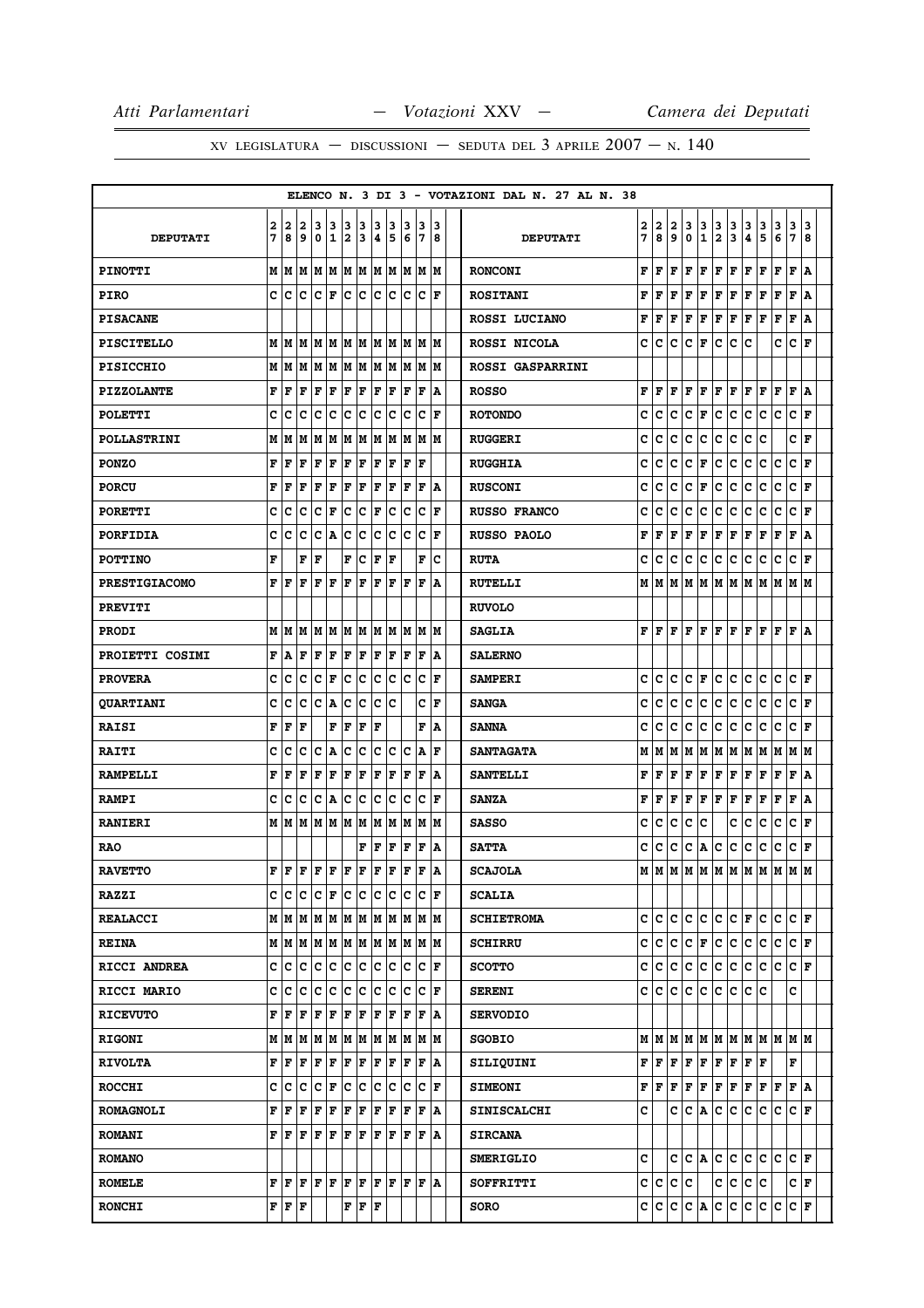|                      |        |                                           |                                                             |        |                      |                  |                                           |                      |        |        |                                                                                                                                                                                                                                                                     |          | ELENCO N. 3 DI 3 - VOTAZIONI DAL N. 27 AL N. 38 |         |                         |              |             |                  |                                         |                                                                                                                                                                                                                                                                                                                                                                                                                                                                                            |        |                         |        |                      |        |
|----------------------|--------|-------------------------------------------|-------------------------------------------------------------|--------|----------------------|------------------|-------------------------------------------|----------------------|--------|--------|---------------------------------------------------------------------------------------------------------------------------------------------------------------------------------------------------------------------------------------------------------------------|----------|-------------------------------------------------|---------|-------------------------|--------------|-------------|------------------|-----------------------------------------|--------------------------------------------------------------------------------------------------------------------------------------------------------------------------------------------------------------------------------------------------------------------------------------------------------------------------------------------------------------------------------------------------------------------------------------------------------------------------------------------|--------|-------------------------|--------|----------------------|--------|
| <b>DEPUTATI</b>      | 2<br>7 | 2<br>8                                    | 2<br>9                                                      | 3<br>0 | 3<br>$\mathbf 1$     | 3<br>2           | 3<br>3                                    | 3<br>14              | 3<br>5 | 3<br>6 | 13<br>17                                                                                                                                                                                                                                                            | 13<br>18 | <b>DEPUTATI</b>                                 | 2<br>7  | 2<br>8                  | 2<br>9       | 3<br>0      | 3<br>$\mathbf 1$ | $\mathbf{3}$<br>$\overline{\mathbf{2}}$ | $\frac{3}{3}$                                                                                                                                                                                                                                                                                                                                                                                                                                                                              | 3<br>4 | $\frac{3}{5}$           | 3<br>6 | 3<br>$7\overline{ }$ | 3<br>8 |
| <b>PINOTTI</b>       |        |                                           |                                                             |        |                      |                  |                                           |                      |        |        |                                                                                                                                                                                                                                                                     |          | <b>RONCONI</b>                                  | F       | F                       | F            | F           | F                | F                                       | F                                                                                                                                                                                                                                                                                                                                                                                                                                                                                          | F      | F                       | F      | F A                  |        |
| <b>PIRO</b>          | c l    | c                                         |                                                             |        |                      |                  |                                           |                      |        |        | c  c  F  c  c  c  c  c  c  F                                                                                                                                                                                                                                        |          | <b>ROSITANI</b>                                 | F       | F                       | F            | F           | F                | F                                       | F                                                                                                                                                                                                                                                                                                                                                                                                                                                                                          | F      | F                       | F      | F A                  |        |
| <b>PISACANE</b>      |        |                                           |                                                             |        |                      |                  |                                           |                      |        |        |                                                                                                                                                                                                                                                                     |          | ROSSI LUCIANO                                   | F       | F                       | F            | F           | F                | F                                       | F                                                                                                                                                                                                                                                                                                                                                                                                                                                                                          | F      | F                       | F      | F                    | A      |
| PISCITELLO           |        |                                           |                                                             |        |                      |                  |                                           |                      |        |        |                                                                                                                                                                                                                                                                     |          | ROSSI NICOLA                                    | с       | с                       | с            | c           | F                | c                                       | c                                                                                                                                                                                                                                                                                                                                                                                                                                                                                          | c      |                         | c      | C F                  |        |
| <b>PISICCHIO</b>     |        | мIм                                       |                                                             |        |                      |                  |                                           |                      |        |        | M  M  M  M  M  M  M  M  M  M                                                                                                                                                                                                                                        |          | <b>ROSSI GASPARRINI</b>                         |         |                         |              |             |                  |                                         |                                                                                                                                                                                                                                                                                                                                                                                                                                                                                            |        |                         |        |                      |        |
| <b>PIZZOLANTE</b>    |        | FF                                        | F                                                           | F      | F                    | F                | F                                         | F F                  |        |        | F F                                                                                                                                                                                                                                                                 | ١A       | <b>ROSSO</b>                                    | F       | F                       | F            | F           | F                |                                         | F F F F                                                                                                                                                                                                                                                                                                                                                                                                                                                                                    |        |                         | F      | F A                  |        |
| <b>POLETTI</b>       | c      | c                                         | c                                                           | c      | c                    | c                | c                                         | c                    | c      | Ιc     | Ιc                                                                                                                                                                                                                                                                  | F        | <b>ROTONDO</b>                                  | C       | c                       | c            | c           | F                | c                                       | c                                                                                                                                                                                                                                                                                                                                                                                                                                                                                          | c      | c                       | c      | C F                  |        |
| <b>POLLASTRINI</b>   | М      | lм                                        | М                                                           |        | M M                  |                  |                                           |                      |        |        | M  M  M  M  M  M  M                                                                                                                                                                                                                                                 |          | <b>RUGGERI</b>                                  | C       | c                       | c            | c           | c                | c                                       | c                                                                                                                                                                                                                                                                                                                                                                                                                                                                                          | c      | c                       |        | C∣F                  |        |
| <b>PONZO</b>         | F      | F                                         | F                                                           | F      | F                    | F                | F                                         | F F                  |        | ΙF     | ١F                                                                                                                                                                                                                                                                  |          | <b>RUGGHIA</b>                                  | c       | c                       | с            | с           | F                | с                                       | с                                                                                                                                                                                                                                                                                                                                                                                                                                                                                          | c      | с                       | с      | C F                  |        |
| <b>PORCU</b>         | F      | F                                         | F                                                           | F      | F                    | F                | F                                         | F                    | F      | lF     | lF.                                                                                                                                                                                                                                                                 | ١A       | <b>RUSCONI</b>                                  | C       | c                       | c            | c           | F                | с                                       | c                                                                                                                                                                                                                                                                                                                                                                                                                                                                                          | c      | с                       | c      | C F                  |        |
| <b>PORETTI</b>       | c      | с                                         | c                                                           |        | C F                  |                  |                                           |                      |        |        | $ {\mathbf{C}}\, {\mathbf{C}}\, {\mathbf{F}}\, {\mathbf{C}}\, {\mathbf{C}}\, {\mathbf{F}}\, $                                                                                                                                                                       |          | <b>RUSSO FRANCO</b>                             | c       | c                       | с            | c           | с                | с                                       | с                                                                                                                                                                                                                                                                                                                                                                                                                                                                                          | с      | c                       | с      | C F                  |        |
| <b>PORFIDIA</b>      | c      | c                                         | c                                                           | с      | A                    | c                | c                                         | lc.                  | Iс     | Ιc     | Ιc                                                                                                                                                                                                                                                                  | ΙF       | RUSSO PAOLO                                     | F       | F                       | F            | F           | F                | F                                       | F                                                                                                                                                                                                                                                                                                                                                                                                                                                                                          | F      | F                       | F      | F                    | A      |
| <b>POTTINO</b>       | F      |                                           |                                                             | F F    |                      | F                | lc.                                       | $ {\bf F}  {\bf F} $ |        |        | F                                                                                                                                                                                                                                                                   | Ιc       | <b>RUTA</b>                                     | с       | c                       | с            | c           | с                | с                                       | с                                                                                                                                                                                                                                                                                                                                                                                                                                                                                          | с      | с                       | c      | C F                  |        |
| <b>PRESTIGIACOMO</b> | F      | ١F                                        | F                                                           | F      | F                    | lF               | ΙF                                        | F                    | lF     | lF     | lF                                                                                                                                                                                                                                                                  | ١A       | <b>RUTELLI</b>                                  | М       | М                       | М            | м           | M                | м                                       | M                                                                                                                                                                                                                                                                                                                                                                                                                                                                                          | М      | M                       | M      | M  M                 |        |
| <b>PREVITI</b>       |        |                                           |                                                             |        |                      |                  |                                           |                      |        |        |                                                                                                                                                                                                                                                                     |          | <b>RUVOLO</b>                                   |         |                         |              |             |                  |                                         |                                                                                                                                                                                                                                                                                                                                                                                                                                                                                            |        |                         |        |                      |        |
| <b>PRODI</b>         |        |                                           |                                                             |        |                      |                  |                                           |                      |        |        |                                                                                                                                                                                                                                                                     |          | <b>SAGLIA</b>                                   | F       | F                       | F            | F           | F                |                                         | F F                                                                                                                                                                                                                                                                                                                                                                                                                                                                                        | F F    |                         | F      | F   A                |        |
| PROIETTI COSIMI      | F      | A                                         | F                                                           | F      | F                    | F                | F F F                                     |                      |        | ١F     | l F                                                                                                                                                                                                                                                                 | ١A       | <b>SALERNO</b>                                  |         |                         |              |             |                  |                                         |                                                                                                                                                                                                                                                                                                                                                                                                                                                                                            |        |                         |        |                      |        |
| <b>PROVERA</b>       | c      | c                                         | с                                                           |        | $ {\bf C}  {\bf F} $ |                  |                                           |                      |        |        | c  c  c  c  c  c  F                                                                                                                                                                                                                                                 |          | <b>SAMPERI</b>                                  | c       | c                       | c            | c           | F                | c                                       | lc.                                                                                                                                                                                                                                                                                                                                                                                                                                                                                        | c      | c                       | c      | $ {\bf C}\>  $ F     |        |
| <b>QUARTIANI</b>     | c      | c                                         | с                                                           | c      | A                    | c                | c                                         | lc.                  | Ιc     |        | c                                                                                                                                                                                                                                                                   | l F      | <b>SANGA</b>                                    | c       | c                       | с            | c           | с                | с                                       | с                                                                                                                                                                                                                                                                                                                                                                                                                                                                                          | c      | с                       | с      | C F                  |        |
| <b>RAISI</b>         | F      | F                                         | F                                                           |        | F                    | F                | F                                         | lF                   |        |        | F                                                                                                                                                                                                                                                                   | ١A       | <b>SANNA</b>                                    | c       | c                       | c            | c           | c                | c                                       | c                                                                                                                                                                                                                                                                                                                                                                                                                                                                                          | c      | c                       | c      | C F                  |        |
| <b>RAITI</b>         | c      | c                                         | C                                                           | c      | A                    | lc.              | c                                         | c c                  |        | Iс     | A  F                                                                                                                                                                                                                                                                |          | <b>SANTAGATA</b>                                | М       | М                       | М            | м           | М                | М                                       | M                                                                                                                                                                                                                                                                                                                                                                                                                                                                                          | М      | M                       | M      | M  M                 |        |
| <b>RAMPELLI</b>      | F      | F                                         | F                                                           | F      | F                    | F                | F                                         | F                    | F      | F      | F                                                                                                                                                                                                                                                                   | ١A       | <b>SANTELLI</b>                                 | F       | F                       | F            | F           | F                | F                                       | F                                                                                                                                                                                                                                                                                                                                                                                                                                                                                          | F      | F                       | F      | F                    | ١A     |
| <b>RAMPI</b>         | c      | с                                         | c                                                           |        |                      | C  A  C  C  C  C |                                           |                      |        | Iс     | $ {\bf C}  {\bf F} $                                                                                                                                                                                                                                                |          | <b>SANZA</b>                                    | F       | F                       | F            | F           | F                | F                                       | F                                                                                                                                                                                                                                                                                                                                                                                                                                                                                          | F      | F                       | F      | F A                  |        |
| <b>RANIERI</b>       |        | MIM                                       |                                                             |        |                      |                  |                                           |                      |        |        | M  M  M  M  M  M  M  M  M  M                                                                                                                                                                                                                                        |          | <b>SASSO</b>                                    | c       | c                       | с            | c           | c                |                                         | с                                                                                                                                                                                                                                                                                                                                                                                                                                                                                          | с      | с                       | с      | C F                  |        |
| <b>RAO</b>           |        |                                           |                                                             |        |                      |                  | F                                         | F F                  |        |        | F F A                                                                                                                                                                                                                                                               |          | <b>SATTA</b>                                    | с       | c                       | с            | с           | Α                | с                                       | с                                                                                                                                                                                                                                                                                                                                                                                                                                                                                          | с      | с                       | с      | C F                  |        |
| <b>RAVETTO</b>       |        |                                           | ${\bf F}$ $\bf [F]$ $\bf [F]$ $\bf [F]$ $\bf [F]$ $\bf [F]$ |        |                      |                  |                                           |                      | lF.    | İΓ     | lF                                                                                                                                                                                                                                                                  | ١A       | <b>SCAJOLA</b>                                  | М       | M                       | M            | M           | M                | M                                       | lм                                                                                                                                                                                                                                                                                                                                                                                                                                                                                         | М      | M                       | М      | м                    | lм     |
| <b>RAZZI</b>         | c      | c                                         |                                                             |        |                      |                  |                                           |                      |        |        | C  C  F  C  C  C  C  C  C  F                                                                                                                                                                                                                                        |          | <b>SCALIA</b>                                   |         |                         |              |             |                  |                                         |                                                                                                                                                                                                                                                                                                                                                                                                                                                                                            |        |                         |        |                      |        |
| <b>REALACCI</b>      |        |                                           |                                                             |        |                      |                  |                                           |                      |        |        |                                                                                                                                                                                                                                                                     |          | <b>SCHIETROMA</b>                               | c       | c                       | c            | c           | c                |                                         | $ {\tt C}\, {\tt C}\, $ F $ $                                                                                                                                                                                                                                                                                                                                                                                                                                                              |        | lC.                     | c      | C F                  |        |
| <b>REINA</b>         |        |                                           |                                                             |        |                      |                  |                                           |                      |        |        |                                                                                                                                                                                                                                                                     |          | <b>SCHIRRU</b>                                  | c       | c                       | c            | c           | F                | c                                       | c                                                                                                                                                                                                                                                                                                                                                                                                                                                                                          | c      | c                       | c      | CF                   |        |
| RICCI ANDREA         |        |                                           |                                                             |        |                      |                  |                                           |                      |        |        | C C C C C C C C C C C F                                                                                                                                                                                                                                             |          | <b>SCOTTO</b>                                   | c       | $ {\bf c}\, {\bf c}\, $ |              | $ {\bf c} $ | c.               |                                         | c c                                                                                                                                                                                                                                                                                                                                                                                                                                                                                        |        | $ {\tt c}\, {\tt c}\, $ |        | $ C C $ F            |        |
| RICCI MARIO          | c l    | c                                         |                                                             |        |                      |                  |                                           |                      |        |        | le le le le le le le le le F                                                                                                                                                                                                                                        |          | <b>SERENI</b>                                   | c c     |                         | c            | c           | c                |                                         | C C                                                                                                                                                                                                                                                                                                                                                                                                                                                                                        | C C    |                         |        | c                    |        |
| <b>RICEVUTO</b>      |        |                                           |                                                             |        |                      |                  |                                           |                      |        |        | $\mathbf{F} \,   \, \mathbf{F} \,   \, \mathbf{F} \,   \, \mathbf{F} \,   \, \mathbf{F} \,   \, \mathbf{F} \,   \, \mathbf{F} \,   \, \mathbf{F} \,   \, \mathbf{F} \,   \, \mathbf{F} \,   \, \mathbf{A}$                                                          |          | <b>SERVODIO</b>                                 |         |                         |              |             |                  |                                         |                                                                                                                                                                                                                                                                                                                                                                                                                                                                                            |        |                         |        |                      |        |
| <b>RIGONI</b>        |        |                                           |                                                             |        |                      |                  |                                           |                      |        |        | $M$   $M$   $M$   $M$   $M$   $M$   $M$   $M$   $M$   $M$   $M$                                                                                                                                                                                                     |          | <b>SGOBIO</b>                                   |         |                         |              |             |                  |                                         |                                                                                                                                                                                                                                                                                                                                                                                                                                                                                            |        | MMMMMMMMMMMMMM          |        |                      |        |
| <b>RIVOLTA</b>       |        |                                           |                                                             |        |                      |                  |                                           |                      |        |        | $\mathbf{F} \,   \, \mathbf{F} \,   \, \mathbf{F} \,   \, \mathbf{F} \,   \, \mathbf{F} \,   \, \mathbf{F} \,   \, \mathbf{F} \,   \, \mathbf{F} \,   \, \mathbf{F} \,   \, \mathbf{F} \,   \, \mathbf{A}$                                                          |          | SILIQUINI                                       |         |                         |              |             |                  |                                         | $\mathbf{F} \left  \mathbf{F} \right. \left  \mathbf{F} \right. \left  \mathbf{F} \right. \left  \mathbf{F} \right. \left  \mathbf{F} \right. \left  \mathbf{F} \right. \left  \mathbf{F} \right. \left  \mathbf{F} \right. \left  \mathbf{F} \right. \left  \mathbf{F} \right. \left  \mathbf{F} \right. \left  \mathbf{F} \right. \left  \mathbf{F} \right. \left  \mathbf{F} \right. \left  \mathbf{F} \right. \left  \mathbf{F} \right. \left  \mathbf{F} \right. \left  \mathbf{F} \$ |        |                         |        | F                    |        |
| <b>ROCCHI</b>        |        | c c                                       |                                                             |        |                      |                  |                                           |                      |        |        | C C F C C C C C F                                                                                                                                                                                                                                                   |          | <b>SIMEONI</b>                                  | F       | F                       | $\mathbf{F}$ |             | F F              |                                         | $ {\bf F}\, {\bf F}\, $                                                                                                                                                                                                                                                                                                                                                                                                                                                                    |        | F F                     | F      | FIA                  |        |
| <b>ROMAGNOLI</b>     |        | FF                                        | F                                                           | F      | F                    |                  |                                           |                      |        |        | F F F F F F A                                                                                                                                                                                                                                                       |          | <b>SINISCALCHI</b>                              | c       |                         |              |             | CCA              |                                         | c c c c                                                                                                                                                                                                                                                                                                                                                                                                                                                                                    |        |                         | c      | C F                  |        |
| <b>ROMANI</b>        |        |                                           |                                                             |        |                      |                  |                                           |                      |        |        | ${\bf F}$ $\left  {\bf F} \right.$ $\left  {\bf F} \right.$ $\left  {\bf F} \right.$ $\left  {\bf F} \right.$ $\left  {\bf F} \right.$ $\left  {\bf F} \right.$ $\left  {\bf F} \right.$ $\left  {\bf F} \right.$ $\left  {\bf F} \right.$ $\left  {\bf F} \right.$ |          | <b>SIRCANA</b>                                  |         |                         |              |             |                  |                                         |                                                                                                                                                                                                                                                                                                                                                                                                                                                                                            |        |                         |        |                      |        |
| <b>ROMANO</b>        |        |                                           |                                                             |        |                      |                  |                                           |                      |        |        |                                                                                                                                                                                                                                                                     |          | <b>SMERIGLIO</b>                                | c       |                         | C            |             | C A              | c                                       | $ \mathbf{c} $                                                                                                                                                                                                                                                                                                                                                                                                                                                                             |        | c c c                   |        | CF                   |        |
| <b>ROMELE</b>        |        |                                           |                                                             |        |                      |                  |                                           |                      |        |        | ${\bf F}\, \, {\bf F}\, \, {\bf F}\, \, {\bf F}\, \, {\bf F}\, \, {\bf F}\, \, {\bf F}\, \, {\bf F}\, \, {\bf F}\, \, {\bf F}\, \, {\bf F}\, \, {\bf A}$                                                                                                            |          | SOFFRITTI                                       | c c c c |                         |              |             |                  | c                                       | c                                                                                                                                                                                                                                                                                                                                                                                                                                                                                          | c c    |                         |        | C F                  |        |
| <b>RONCHI</b>        |        | ${\bf F} \,   \, {\bf F} \,   \, {\bf F}$ |                                                             |        |                      |                  | ${\bf F} \,   \, {\bf F} \,   \, {\bf F}$ |                      |        |        |                                                                                                                                                                                                                                                                     |          | SORO                                            | C C     |                         | C            |             | C A              | c c                                     |                                                                                                                                                                                                                                                                                                                                                                                                                                                                                            | c      | c.                      | c      | $ {\bf C}  {\bf F} $ |        |